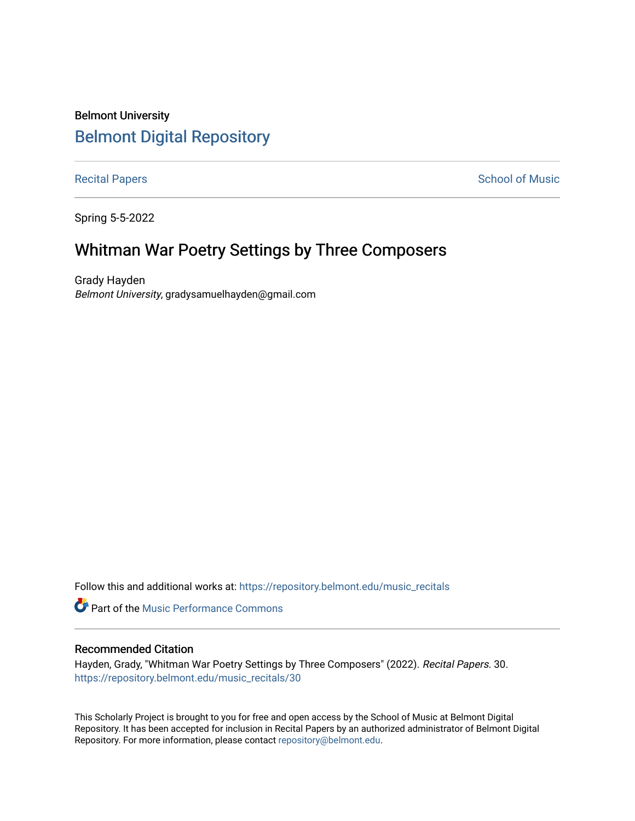# Belmont University [Belmont Digital Repository](https://repository.belmont.edu/)

[Recital Papers](https://repository.belmont.edu/music_recitals) **School of Music** 

Spring 5-5-2022

# Whitman War Poetry Settings by Three Composers

Grady Hayden Belmont University, gradysamuelhayden@gmail.com

Follow this and additional works at: [https://repository.belmont.edu/music\\_recitals](https://repository.belmont.edu/music_recitals?utm_source=repository.belmont.edu%2Fmusic_recitals%2F30&utm_medium=PDF&utm_campaign=PDFCoverPages) 

**Part of the [Music Performance Commons](http://network.bepress.com/hgg/discipline/1128?utm_source=repository.belmont.edu%2Fmusic_recitals%2F30&utm_medium=PDF&utm_campaign=PDFCoverPages)** 

#### Recommended Citation

Hayden, Grady, "Whitman War Poetry Settings by Three Composers" (2022). Recital Papers. 30. [https://repository.belmont.edu/music\\_recitals/30](https://repository.belmont.edu/music_recitals/30?utm_source=repository.belmont.edu%2Fmusic_recitals%2F30&utm_medium=PDF&utm_campaign=PDFCoverPages)

This Scholarly Project is brought to you for free and open access by the School of Music at Belmont Digital Repository. It has been accepted for inclusion in Recital Papers by an authorized administrator of Belmont Digital Repository. For more information, please contact [repository@belmont.edu.](mailto:repository@belmont.edu)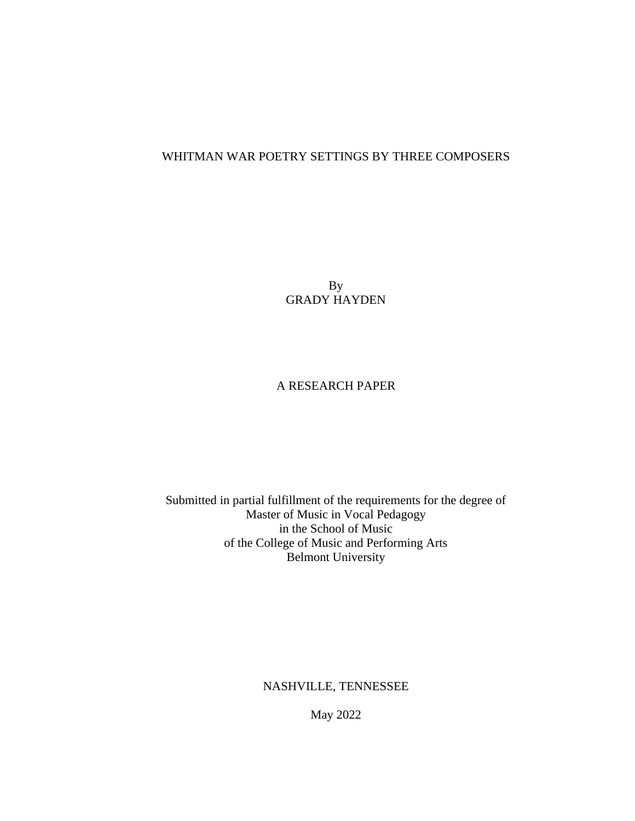# WHITMAN WAR POETRY SETTINGS BY THREE COMPOSERS

By GRADY HAYDEN

# A RESEARCH PAPER

Submitted in partial fulfillment of the requirements for the degree of Master of Music in Vocal Pedagogy in the School of Music of the College of Music and Performing Arts Belmont University

NASHVILLE, TENNESSEE

May 2022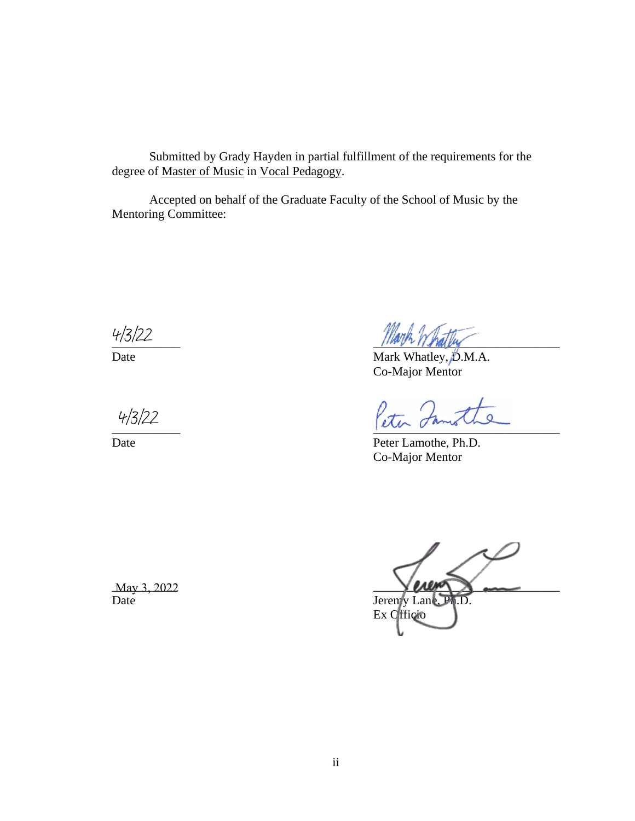Submitted by Grady Hayden in partial fulfillment of the requirements for the degree of Master of Music in Vocal Pedagogy.

Accepted on behalf of the Graduate Faculty of the School of Music by the Mentoring Committee:

 $\frac{4/3}{2}$ <br>Date<br> $\frac{4}{3}/22$ 

 $\frac{11000 \text{ yr}}{11000 \text{ yr}}$ 

Date Mark Whatley,  $\beta$ .M.A. Co-Major Mentor

 $\frac{1}{2}$ 

Date Peter Lamothe, Ph.D. Co-Major Mentor

 $\text{May } 3, 2022$   $\text{May } 3, 2022$ Date Jeremy Lane, Ph.D. Ex Officio

May 3, 2022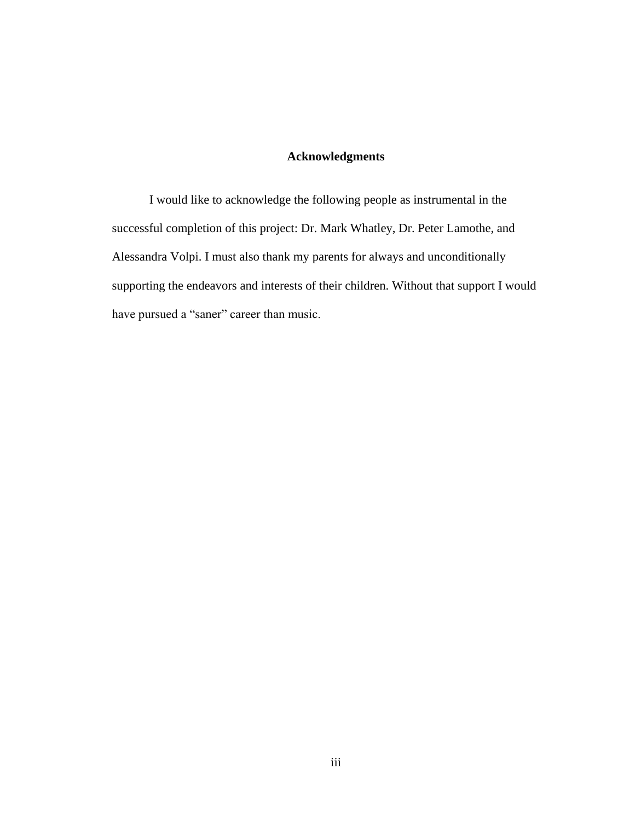# **Acknowledgments**

I would like to acknowledge the following people as instrumental in the successful completion of this project: Dr. Mark Whatley, Dr. Peter Lamothe, and Alessandra Volpi. I must also thank my parents for always and unconditionally supporting the endeavors and interests of their children. Without that support I would have pursued a "saner" career than music.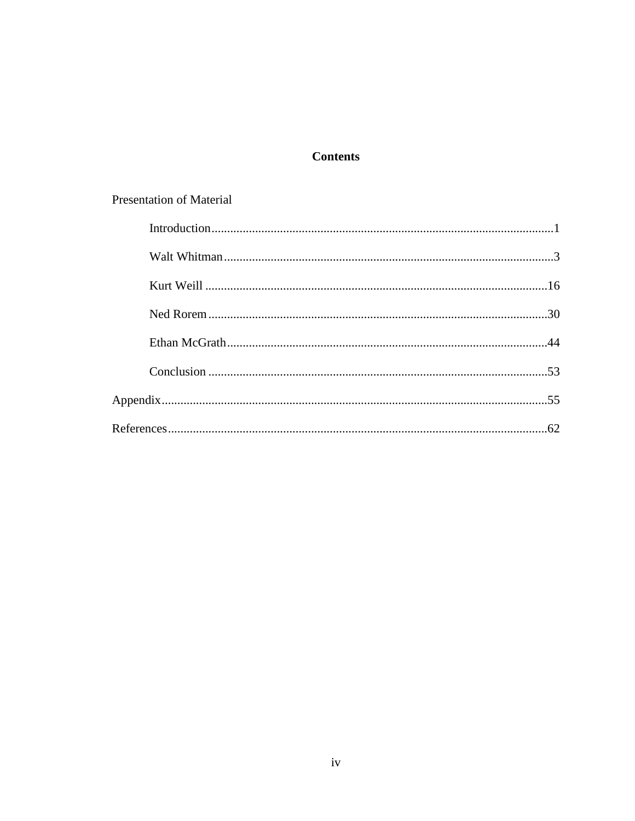# **Contents**

# Presentation of Material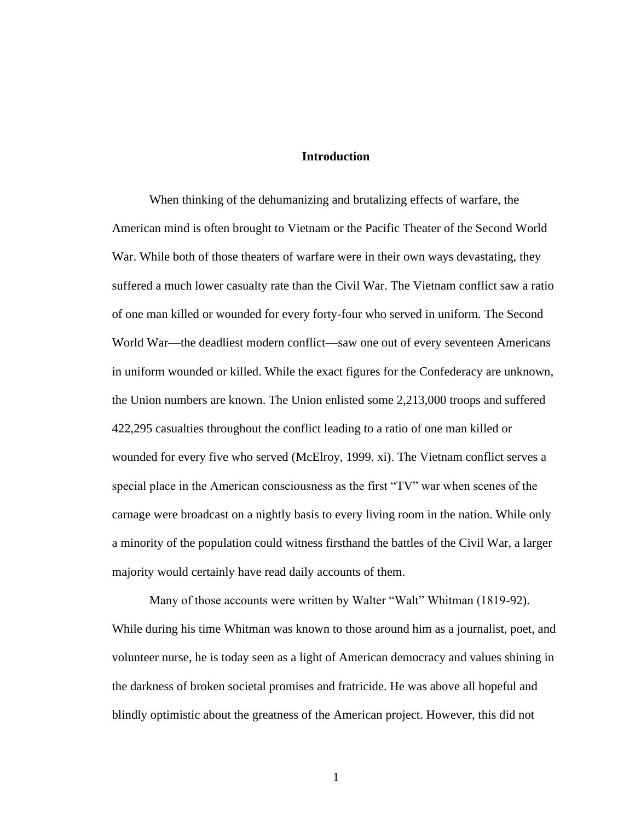#### **Introduction**

When thinking of the dehumanizing and brutalizing effects of warfare, the American mind is often brought to Vietnam or the Pacific Theater of the Second World War. While both of those theaters of warfare were in their own ways devastating, they suffered a much lower casualty rate than the Civil War. The Vietnam conflict saw a ratio of one man killed or wounded for every forty-four who served in uniform. The Second World War—the deadliest modern conflict—saw one out of every seventeen Americans in uniform wounded or killed. While the exact figures for the Confederacy are unknown, the Union numbers are known. The Union enlisted some 2,213,000 troops and suffered 422,295 casualties throughout the conflict leading to a ratio of one man killed or wounded for every five who served (McElroy, 1999. xi). The Vietnam conflict serves a special place in the American consciousness as the first "TV" war when scenes of the carnage were broadcast on a nightly basis to every living room in the nation. While only a minority of the population could witness firsthand the battles of the Civil War, a larger majority would certainly have read daily accounts of them.

Many of those accounts were written by Walter "Walt" Whitman (1819-92). While during his time Whitman was known to those around him as a journalist, poet, and volunteer nurse, he is today seen as a light of American democracy and values shining in the darkness of broken societal promises and fratricide. He was above all hopeful and blindly optimistic about the greatness of the American project. However, this did not

1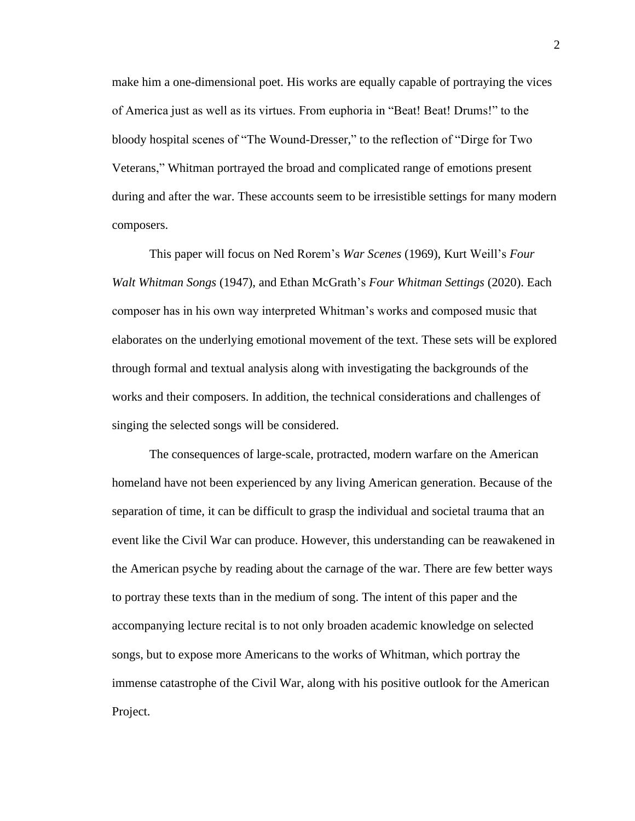make him a one-dimensional poet. His works are equally capable of portraying the vices of America just as well as its virtues. From euphoria in "Beat! Beat! Drums!" to the bloody hospital scenes of "The Wound-Dresser," to the reflection of "Dirge for Two Veterans," Whitman portrayed the broad and complicated range of emotions present during and after the war. These accounts seem to be irresistible settings for many modern composers.

This paper will focus on Ned Rorem's *War Scenes* (1969), Kurt Weill's *Four Walt Whitman Songs* (1947), and Ethan McGrath's *Four Whitman Settings* (2020). Each composer has in his own way interpreted Whitman's works and composed music that elaborates on the underlying emotional movement of the text. These sets will be explored through formal and textual analysis along with investigating the backgrounds of the works and their composers. In addition, the technical considerations and challenges of singing the selected songs will be considered.

The consequences of large-scale, protracted, modern warfare on the American homeland have not been experienced by any living American generation. Because of the separation of time, it can be difficult to grasp the individual and societal trauma that an event like the Civil War can produce. However, this understanding can be reawakened in the American psyche by reading about the carnage of the war. There are few better ways to portray these texts than in the medium of song. The intent of this paper and the accompanying lecture recital is to not only broaden academic knowledge on selected songs, but to expose more Americans to the works of Whitman, which portray the immense catastrophe of the Civil War, along with his positive outlook for the American Project.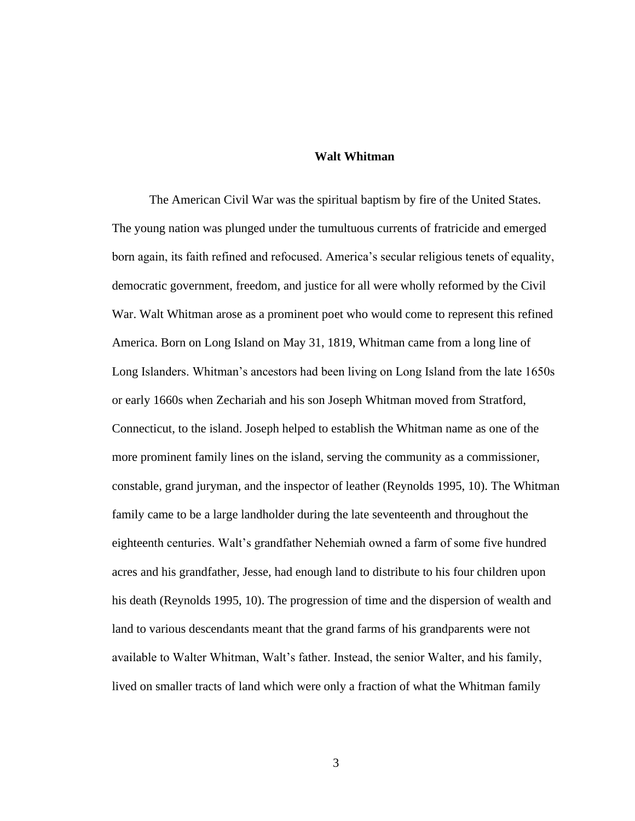#### **Walt Whitman**

The American Civil War was the spiritual baptism by fire of the United States. The young nation was plunged under the tumultuous currents of fratricide and emerged born again, its faith refined and refocused. America's secular religious tenets of equality, democratic government, freedom, and justice for all were wholly reformed by the Civil War. Walt Whitman arose as a prominent poet who would come to represent this refined America. Born on Long Island on May 31, 1819, Whitman came from a long line of Long Islanders. Whitman's ancestors had been living on Long Island from the late 1650s or early 1660s when Zechariah and his son Joseph Whitman moved from Stratford, Connecticut, to the island. Joseph helped to establish the Whitman name as one of the more prominent family lines on the island, serving the community as a commissioner, constable, grand juryman, and the inspector of leather (Reynolds 1995, 10). The Whitman family came to be a large landholder during the late seventeenth and throughout the eighteenth centuries. Walt's grandfather Nehemiah owned a farm of some five hundred acres and his grandfather, Jesse, had enough land to distribute to his four children upon his death (Reynolds 1995, 10). The progression of time and the dispersion of wealth and land to various descendants meant that the grand farms of his grandparents were not available to Walter Whitman, Walt's father. Instead, the senior Walter, and his family, lived on smaller tracts of land which were only a fraction of what the Whitman family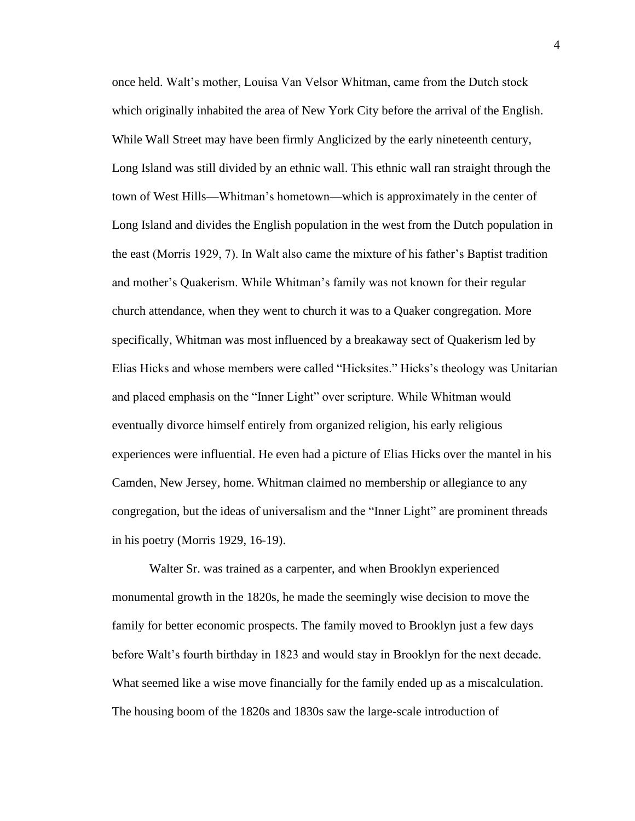once held. Walt's mother, Louisa Van Velsor Whitman, came from the Dutch stock which originally inhabited the area of New York City before the arrival of the English. While Wall Street may have been firmly Anglicized by the early nineteenth century, Long Island was still divided by an ethnic wall. This ethnic wall ran straight through the town of West Hills—Whitman's hometown—which is approximately in the center of Long Island and divides the English population in the west from the Dutch population in the east (Morris 1929, 7). In Walt also came the mixture of his father's Baptist tradition and mother's Quakerism. While Whitman's family was not known for their regular church attendance, when they went to church it was to a Quaker congregation. More specifically, Whitman was most influenced by a breakaway sect of Quakerism led by Elias Hicks and whose members were called "Hicksites." Hicks's theology was Unitarian and placed emphasis on the "Inner Light" over scripture. While Whitman would eventually divorce himself entirely from organized religion, his early religious experiences were influential. He even had a picture of Elias Hicks over the mantel in his Camden, New Jersey, home. Whitman claimed no membership or allegiance to any congregation, but the ideas of universalism and the "Inner Light" are prominent threads in his poetry (Morris 1929, 16-19).

Walter Sr. was trained as a carpenter, and when Brooklyn experienced monumental growth in the 1820s, he made the seemingly wise decision to move the family for better economic prospects. The family moved to Brooklyn just a few days before Walt's fourth birthday in 1823 and would stay in Brooklyn for the next decade. What seemed like a wise move financially for the family ended up as a miscalculation. The housing boom of the 1820s and 1830s saw the large-scale introduction of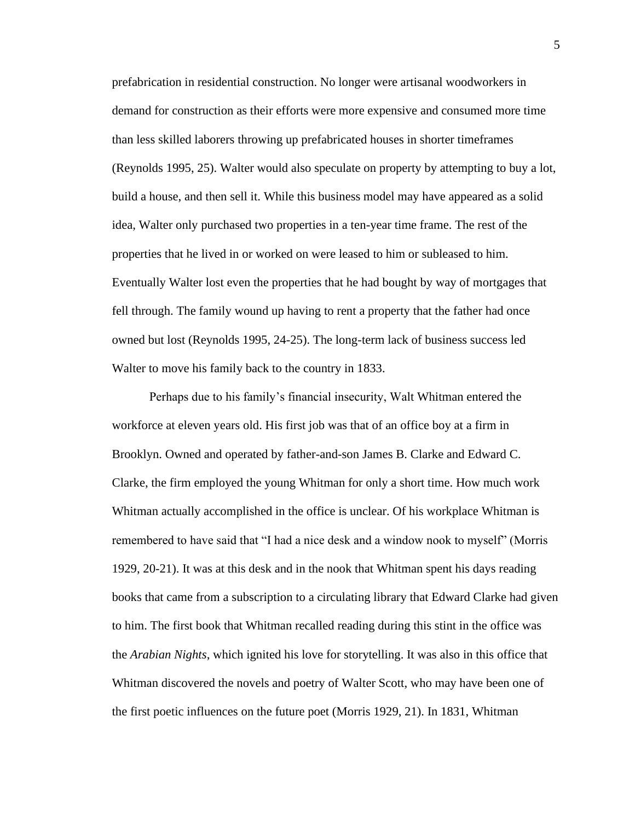prefabrication in residential construction. No longer were artisanal woodworkers in demand for construction as their efforts were more expensive and consumed more time than less skilled laborers throwing up prefabricated houses in shorter timeframes (Reynolds 1995, 25). Walter would also speculate on property by attempting to buy a lot, build a house, and then sell it. While this business model may have appeared as a solid idea, Walter only purchased two properties in a ten-year time frame. The rest of the properties that he lived in or worked on were leased to him or subleased to him. Eventually Walter lost even the properties that he had bought by way of mortgages that fell through. The family wound up having to rent a property that the father had once owned but lost (Reynolds 1995, 24-25). The long-term lack of business success led Walter to move his family back to the country in 1833.

Perhaps due to his family's financial insecurity, Walt Whitman entered the workforce at eleven years old. His first job was that of an office boy at a firm in Brooklyn. Owned and operated by father-and-son James B. Clarke and Edward C. Clarke, the firm employed the young Whitman for only a short time. How much work Whitman actually accomplished in the office is unclear. Of his workplace Whitman is remembered to have said that "I had a nice desk and a window nook to myself" (Morris 1929, 20-21). It was at this desk and in the nook that Whitman spent his days reading books that came from a subscription to a circulating library that Edward Clarke had given to him. The first book that Whitman recalled reading during this stint in the office was the *Arabian Nights*, which ignited his love for storytelling. It was also in this office that Whitman discovered the novels and poetry of Walter Scott, who may have been one of the first poetic influences on the future poet (Morris 1929, 21). In 1831, Whitman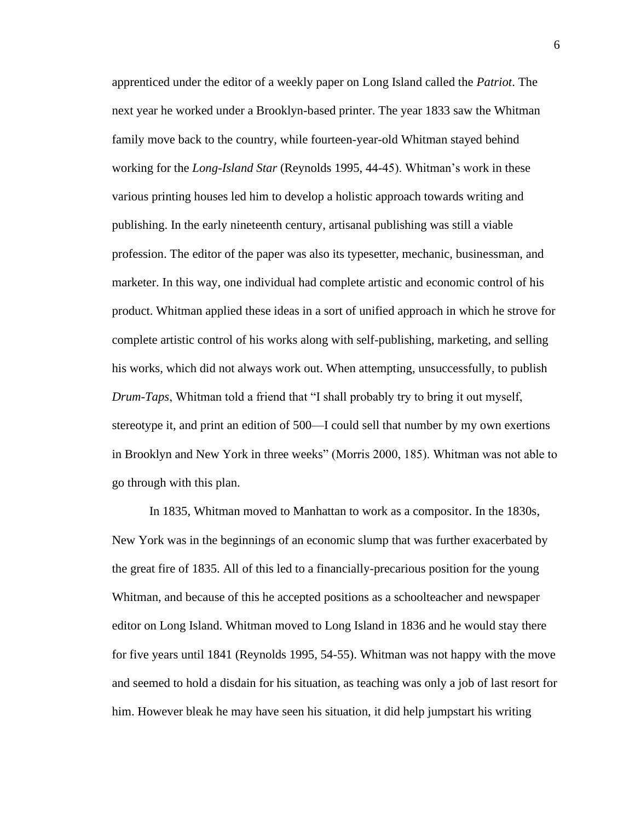apprenticed under the editor of a weekly paper on Long Island called the *Patriot*. The next year he worked under a Brooklyn-based printer. The year 1833 saw the Whitman family move back to the country, while fourteen-year-old Whitman stayed behind working for the *Long-Island Star* (Reynolds 1995, 44-45). Whitman's work in these various printing houses led him to develop a holistic approach towards writing and publishing. In the early nineteenth century, artisanal publishing was still a viable profession. The editor of the paper was also its typesetter, mechanic, businessman, and marketer. In this way, one individual had complete artistic and economic control of his product. Whitman applied these ideas in a sort of unified approach in which he strove for complete artistic control of his works along with self-publishing, marketing, and selling his works, which did not always work out. When attempting, unsuccessfully, to publish *Drum-Taps*, Whitman told a friend that "I shall probably try to bring it out myself, stereotype it, and print an edition of 500—I could sell that number by my own exertions in Brooklyn and New York in three weeks" (Morris 2000, 185). Whitman was not able to go through with this plan.

In 1835, Whitman moved to Manhattan to work as a compositor. In the 1830s, New York was in the beginnings of an economic slump that was further exacerbated by the great fire of 1835. All of this led to a financially-precarious position for the young Whitman, and because of this he accepted positions as a schoolteacher and newspaper editor on Long Island. Whitman moved to Long Island in 1836 and he would stay there for five years until 1841 (Reynolds 1995, 54-55). Whitman was not happy with the move and seemed to hold a disdain for his situation, as teaching was only a job of last resort for him. However bleak he may have seen his situation, it did help jumpstart his writing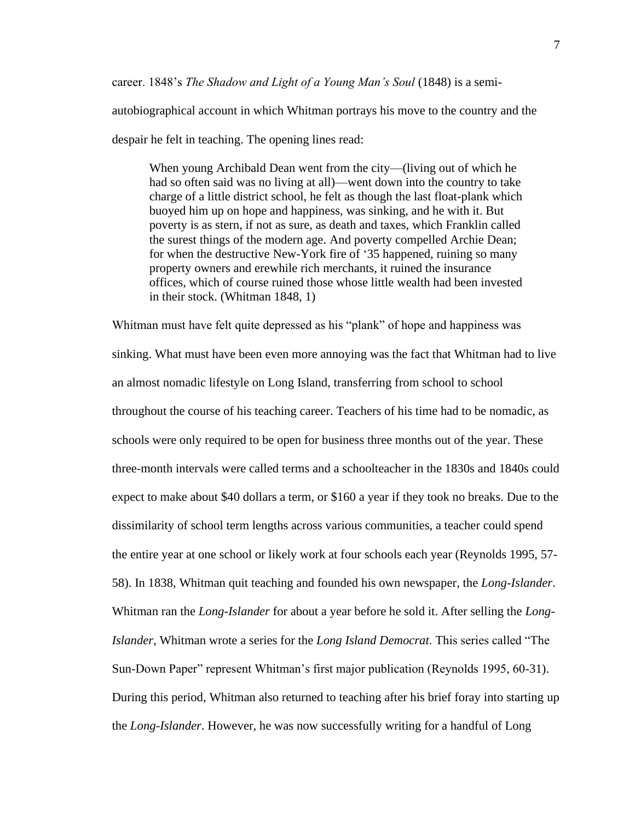career. 1848's *The Shadow and Light of a Young Man's Soul* (1848) is a semi-

autobiographical account in which Whitman portrays his move to the country and the despair he felt in teaching. The opening lines read:

When young Archibald Dean went from the city—(living out of which he had so often said was no living at all)—went down into the country to take charge of a little district school, he felt as though the last float-plank which buoyed him up on hope and happiness, was sinking, and he with it. But poverty is as stern, if not as sure, as death and taxes, which Franklin called the surest things of the modern age. And poverty compelled Archie Dean; for when the destructive New-York fire of '35 happened, ruining so many property owners and erewhile rich merchants, it ruined the insurance offices, which of course ruined those whose little wealth had been invested in their stock. (Whitman 1848, 1)

Whitman must have felt quite depressed as his "plank" of hope and happiness was sinking. What must have been even more annoying was the fact that Whitman had to live an almost nomadic lifestyle on Long Island, transferring from school to school throughout the course of his teaching career. Teachers of his time had to be nomadic, as schools were only required to be open for business three months out of the year. These three-month intervals were called terms and a schoolteacher in the 1830s and 1840s could expect to make about \$40 dollars a term, or \$160 a year if they took no breaks. Due to the dissimilarity of school term lengths across various communities, a teacher could spend the entire year at one school or likely work at four schools each year (Reynolds 1995, 57- 58). In 1838, Whitman quit teaching and founded his own newspaper, the *Long-Islander*. Whitman ran the *Long-Islander* for about a year before he sold it. After selling the *Long-Islander*, Whitman wrote a series for the *Long Island Democrat*. This series called "The Sun-Down Paper" represent Whitman's first major publication (Reynolds 1995, 60-31). During this period, Whitman also returned to teaching after his brief foray into starting up the *Long-Islander*. However, he was now successfully writing for a handful of Long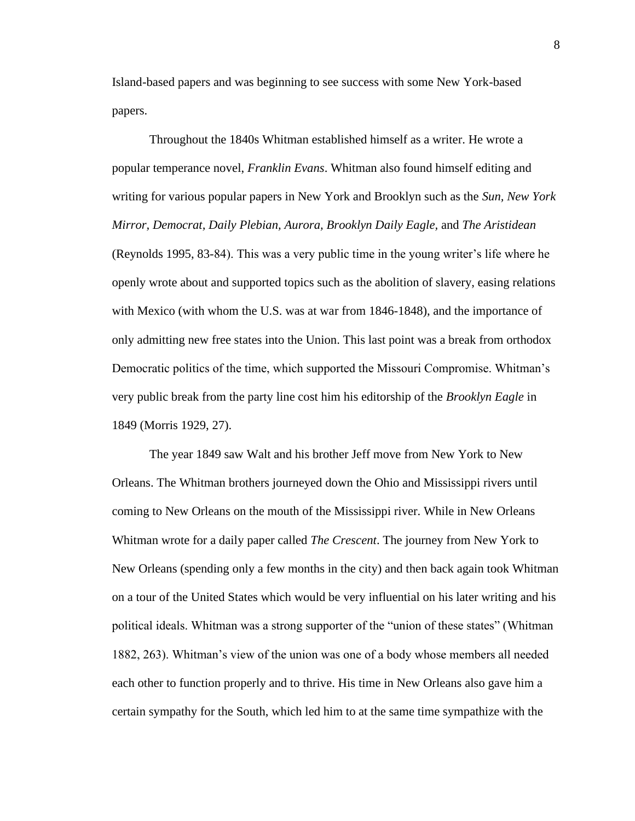Island-based papers and was beginning to see success with some New York-based papers.

Throughout the 1840s Whitman established himself as a writer. He wrote a popular temperance novel, *Franklin Evans*. Whitman also found himself editing and writing for various popular papers in New York and Brooklyn such as the *Sun, New York Mirror, Democrat, Daily Plebian, Aurora, Brooklyn Daily Eagle,* and *The Aristidean*  (Reynolds 1995, 83-84). This was a very public time in the young writer's life where he openly wrote about and supported topics such as the abolition of slavery, easing relations with Mexico (with whom the U.S. was at war from 1846-1848), and the importance of only admitting new free states into the Union. This last point was a break from orthodox Democratic politics of the time, which supported the Missouri Compromise. Whitman's very public break from the party line cost him his editorship of the *Brooklyn Eagle* in 1849 (Morris 1929, 27).

The year 1849 saw Walt and his brother Jeff move from New York to New Orleans. The Whitman brothers journeyed down the Ohio and Mississippi rivers until coming to New Orleans on the mouth of the Mississippi river. While in New Orleans Whitman wrote for a daily paper called *The Crescent*. The journey from New York to New Orleans (spending only a few months in the city) and then back again took Whitman on a tour of the United States which would be very influential on his later writing and his political ideals. Whitman was a strong supporter of the "union of these states" (Whitman 1882, 263). Whitman's view of the union was one of a body whose members all needed each other to function properly and to thrive. His time in New Orleans also gave him a certain sympathy for the South, which led him to at the same time sympathize with the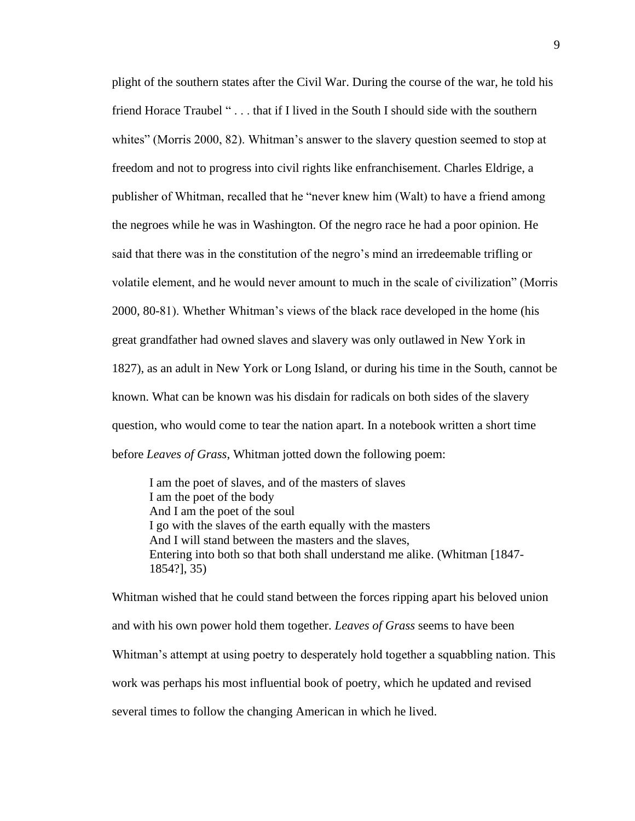plight of the southern states after the Civil War. During the course of the war, he told his friend Horace Traubel " . . . that if I lived in the South I should side with the southern whites" (Morris 2000, 82). Whitman's answer to the slavery question seemed to stop at freedom and not to progress into civil rights like enfranchisement. Charles Eldrige, a publisher of Whitman, recalled that he "never knew him (Walt) to have a friend among the negroes while he was in Washington. Of the negro race he had a poor opinion. He said that there was in the constitution of the negro's mind an irredeemable trifling or volatile element, and he would never amount to much in the scale of civilization" (Morris 2000, 80-81). Whether Whitman's views of the black race developed in the home (his great grandfather had owned slaves and slavery was only outlawed in New York in 1827), as an adult in New York or Long Island, or during his time in the South, cannot be known. What can be known was his disdain for radicals on both sides of the slavery question, who would come to tear the nation apart. In a notebook written a short time before *Leaves of Grass*, Whitman jotted down the following poem:

I am the poet of slaves, and of the masters of slaves I am the poet of the body And I am the poet of the soul I go with the slaves of the earth equally with the masters And I will stand between the masters and the slaves, Entering into both so that both shall understand me alike. (Whitman [1847- 1854?], 35)

Whitman wished that he could stand between the forces ripping apart his beloved union and with his own power hold them together. *Leaves of Grass* seems to have been Whitman's attempt at using poetry to desperately hold together a squabbling nation. This work was perhaps his most influential book of poetry, which he updated and revised several times to follow the changing American in which he lived.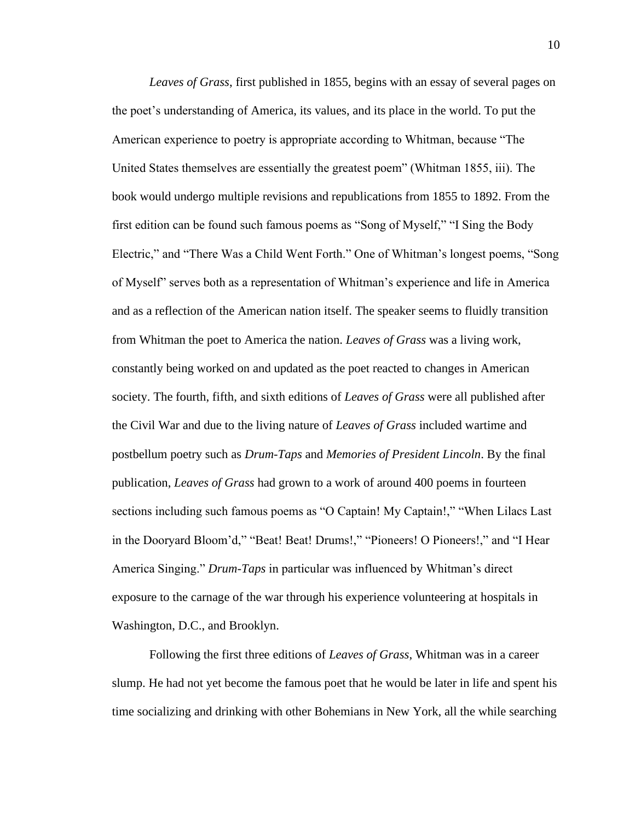*Leaves of Grass*, first published in 1855, begins with an essay of several pages on the poet's understanding of America, its values, and its place in the world. To put the American experience to poetry is appropriate according to Whitman, because "The United States themselves are essentially the greatest poem" (Whitman 1855, iii). The book would undergo multiple revisions and republications from 1855 to 1892. From the first edition can be found such famous poems as "Song of Myself," "I Sing the Body Electric," and "There Was a Child Went Forth." One of Whitman's longest poems, "Song of Myself" serves both as a representation of Whitman's experience and life in America and as a reflection of the American nation itself. The speaker seems to fluidly transition from Whitman the poet to America the nation. *Leaves of Grass* was a living work, constantly being worked on and updated as the poet reacted to changes in American society. The fourth, fifth, and sixth editions of *Leaves of Grass* were all published after the Civil War and due to the living nature of *Leaves of Grass* included wartime and postbellum poetry such as *Drum-Taps* and *Memories of President Lincoln*. By the final publication, *Leaves of Grass* had grown to a work of around 400 poems in fourteen sections including such famous poems as "O Captain! My Captain!," "When Lilacs Last in the Dooryard Bloom'd," "Beat! Beat! Drums!," "Pioneers! O Pioneers!," and "I Hear America Singing." *Drum-Taps* in particular was influenced by Whitman's direct exposure to the carnage of the war through his experience volunteering at hospitals in Washington, D.C., and Brooklyn.

Following the first three editions of *Leaves of Grass*, Whitman was in a career slump. He had not yet become the famous poet that he would be later in life and spent his time socializing and drinking with other Bohemians in New York, all the while searching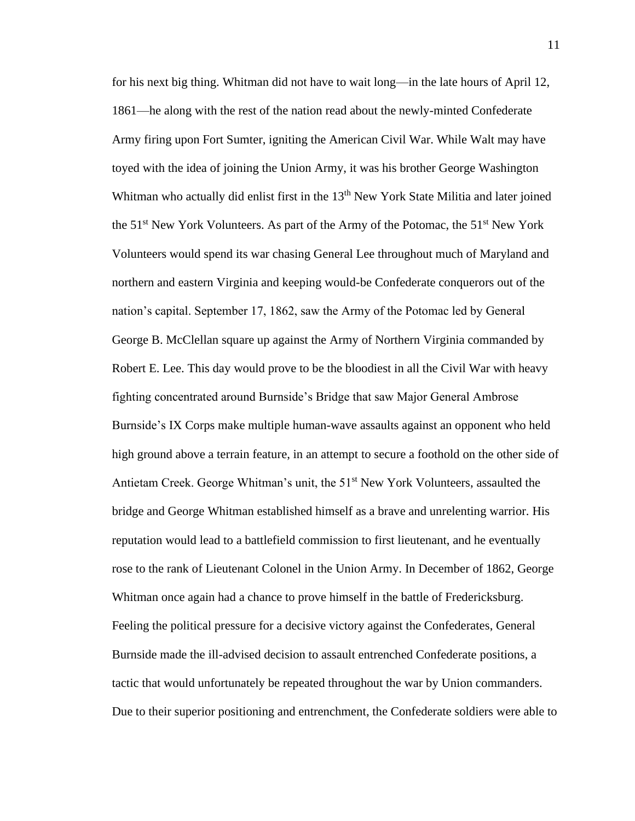for his next big thing. Whitman did not have to wait long—in the late hours of April 12, 1861—he along with the rest of the nation read about the newly-minted Confederate Army firing upon Fort Sumter, igniting the American Civil War. While Walt may have toyed with the idea of joining the Union Army, it was his brother George Washington Whitman who actually did enlist first in the 13<sup>th</sup> New York State Militia and later joined the 51<sup>st</sup> New York Volunteers. As part of the Army of the Potomac, the 51<sup>st</sup> New York Volunteers would spend its war chasing General Lee throughout much of Maryland and northern and eastern Virginia and keeping would-be Confederate conquerors out of the nation's capital. September 17, 1862, saw the Army of the Potomac led by General George B. McClellan square up against the Army of Northern Virginia commanded by Robert E. Lee. This day would prove to be the bloodiest in all the Civil War with heavy fighting concentrated around Burnside's Bridge that saw Major General Ambrose Burnside's IX Corps make multiple human-wave assaults against an opponent who held high ground above a terrain feature, in an attempt to secure a foothold on the other side of Antietam Creek. George Whitman's unit, the 51<sup>st</sup> New York Volunteers, assaulted the bridge and George Whitman established himself as a brave and unrelenting warrior. His reputation would lead to a battlefield commission to first lieutenant, and he eventually rose to the rank of Lieutenant Colonel in the Union Army. In December of 1862, George Whitman once again had a chance to prove himself in the battle of Fredericksburg. Feeling the political pressure for a decisive victory against the Confederates, General Burnside made the ill-advised decision to assault entrenched Confederate positions, a tactic that would unfortunately be repeated throughout the war by Union commanders. Due to their superior positioning and entrenchment, the Confederate soldiers were able to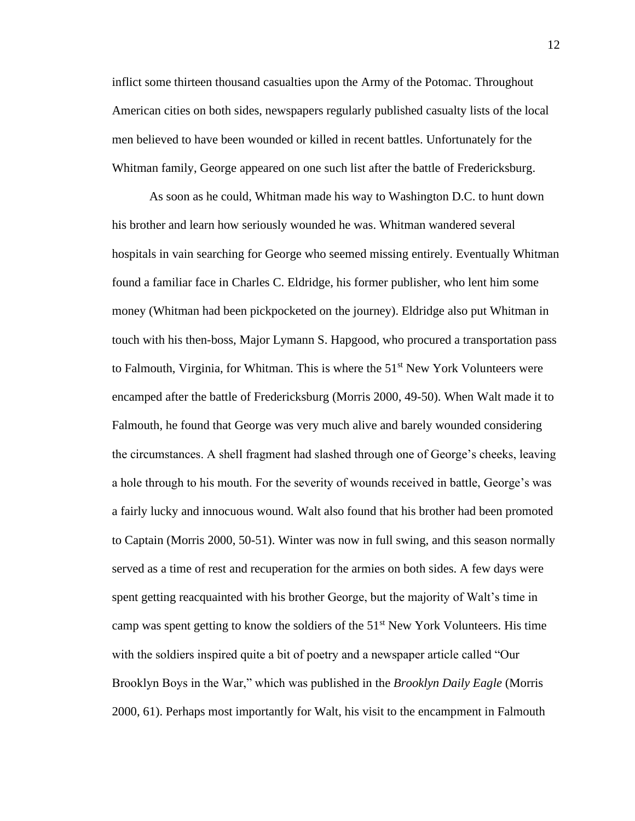inflict some thirteen thousand casualties upon the Army of the Potomac. Throughout American cities on both sides, newspapers regularly published casualty lists of the local men believed to have been wounded or killed in recent battles. Unfortunately for the Whitman family, George appeared on one such list after the battle of Fredericksburg.

As soon as he could, Whitman made his way to Washington D.C. to hunt down his brother and learn how seriously wounded he was. Whitman wandered several hospitals in vain searching for George who seemed missing entirely. Eventually Whitman found a familiar face in Charles C. Eldridge, his former publisher, who lent him some money (Whitman had been pickpocketed on the journey). Eldridge also put Whitman in touch with his then-boss, Major Lymann S. Hapgood, who procured a transportation pass to Falmouth, Virginia, for Whitman. This is where the  $51<sup>st</sup>$  New York Volunteers were encamped after the battle of Fredericksburg (Morris 2000, 49-50). When Walt made it to Falmouth, he found that George was very much alive and barely wounded considering the circumstances. A shell fragment had slashed through one of George's cheeks, leaving a hole through to his mouth. For the severity of wounds received in battle, George's was a fairly lucky and innocuous wound. Walt also found that his brother had been promoted to Captain (Morris 2000, 50-51). Winter was now in full swing, and this season normally served as a time of rest and recuperation for the armies on both sides. A few days were spent getting reacquainted with his brother George, but the majority of Walt's time in camp was spent getting to know the soldiers of the  $51<sup>st</sup>$  New York Volunteers. His time with the soldiers inspired quite a bit of poetry and a newspaper article called "Our Brooklyn Boys in the War," which was published in the *Brooklyn Daily Eagle* (Morris 2000, 61). Perhaps most importantly for Walt, his visit to the encampment in Falmouth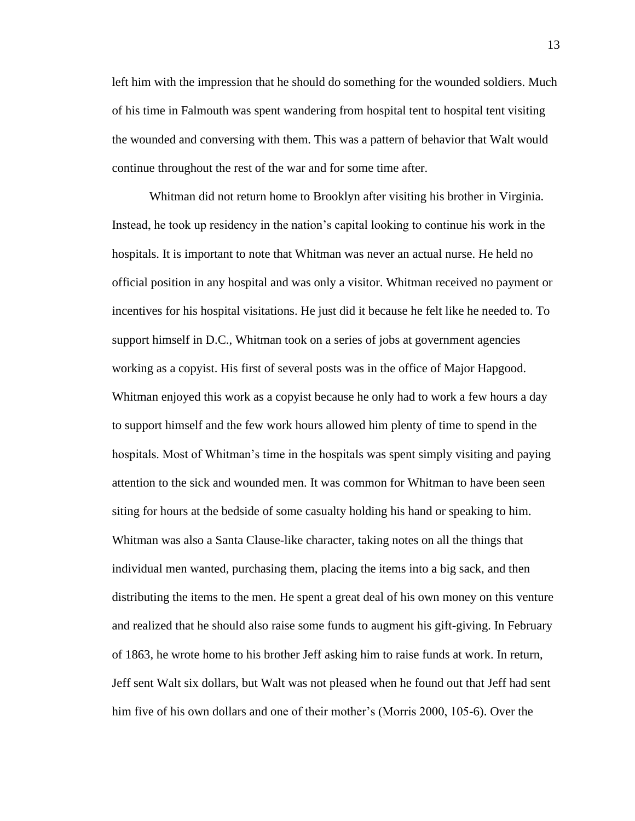left him with the impression that he should do something for the wounded soldiers. Much of his time in Falmouth was spent wandering from hospital tent to hospital tent visiting the wounded and conversing with them. This was a pattern of behavior that Walt would continue throughout the rest of the war and for some time after.

Whitman did not return home to Brooklyn after visiting his brother in Virginia. Instead, he took up residency in the nation's capital looking to continue his work in the hospitals. It is important to note that Whitman was never an actual nurse. He held no official position in any hospital and was only a visitor. Whitman received no payment or incentives for his hospital visitations. He just did it because he felt like he needed to. To support himself in D.C., Whitman took on a series of jobs at government agencies working as a copyist. His first of several posts was in the office of Major Hapgood. Whitman enjoyed this work as a copyist because he only had to work a few hours a day to support himself and the few work hours allowed him plenty of time to spend in the hospitals. Most of Whitman's time in the hospitals was spent simply visiting and paying attention to the sick and wounded men. It was common for Whitman to have been seen siting for hours at the bedside of some casualty holding his hand or speaking to him. Whitman was also a Santa Clause-like character, taking notes on all the things that individual men wanted, purchasing them, placing the items into a big sack, and then distributing the items to the men. He spent a great deal of his own money on this venture and realized that he should also raise some funds to augment his gift-giving. In February of 1863, he wrote home to his brother Jeff asking him to raise funds at work. In return, Jeff sent Walt six dollars, but Walt was not pleased when he found out that Jeff had sent him five of his own dollars and one of their mother's (Morris 2000, 105-6). Over the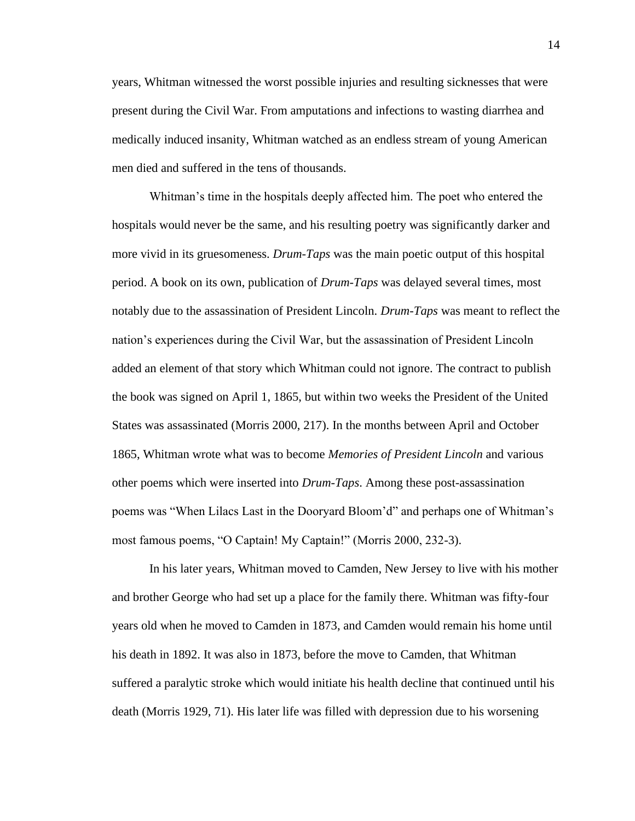years, Whitman witnessed the worst possible injuries and resulting sicknesses that were present during the Civil War. From amputations and infections to wasting diarrhea and medically induced insanity, Whitman watched as an endless stream of young American men died and suffered in the tens of thousands.

Whitman's time in the hospitals deeply affected him. The poet who entered the hospitals would never be the same, and his resulting poetry was significantly darker and more vivid in its gruesomeness. *Drum-Taps* was the main poetic output of this hospital period. A book on its own, publication of *Drum-Taps* was delayed several times, most notably due to the assassination of President Lincoln. *Drum-Taps* was meant to reflect the nation's experiences during the Civil War, but the assassination of President Lincoln added an element of that story which Whitman could not ignore. The contract to publish the book was signed on April 1, 1865, but within two weeks the President of the United States was assassinated (Morris 2000, 217). In the months between April and October 1865, Whitman wrote what was to become *Memories of President Lincoln* and various other poems which were inserted into *Drum-Taps*. Among these post-assassination poems was "When Lilacs Last in the Dooryard Bloom'd" and perhaps one of Whitman's most famous poems, "O Captain! My Captain!" (Morris 2000, 232-3).

In his later years, Whitman moved to Camden, New Jersey to live with his mother and brother George who had set up a place for the family there. Whitman was fifty-four years old when he moved to Camden in 1873, and Camden would remain his home until his death in 1892. It was also in 1873, before the move to Camden, that Whitman suffered a paralytic stroke which would initiate his health decline that continued until his death (Morris 1929, 71). His later life was filled with depression due to his worsening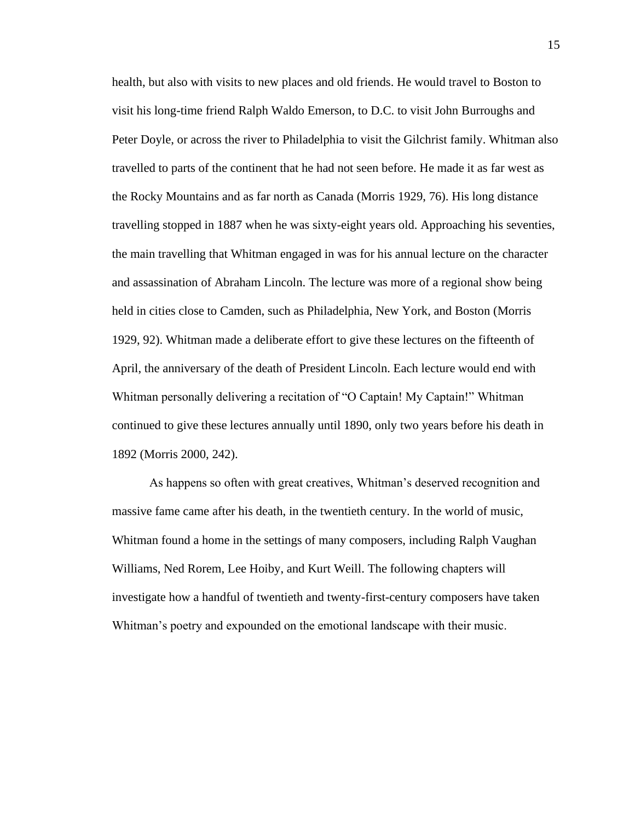health, but also with visits to new places and old friends. He would travel to Boston to visit his long-time friend Ralph Waldo Emerson, to D.C. to visit John Burroughs and Peter Doyle, or across the river to Philadelphia to visit the Gilchrist family. Whitman also travelled to parts of the continent that he had not seen before. He made it as far west as the Rocky Mountains and as far north as Canada (Morris 1929, 76). His long distance travelling stopped in 1887 when he was sixty-eight years old. Approaching his seventies, the main travelling that Whitman engaged in was for his annual lecture on the character and assassination of Abraham Lincoln. The lecture was more of a regional show being held in cities close to Camden, such as Philadelphia, New York, and Boston (Morris 1929, 92). Whitman made a deliberate effort to give these lectures on the fifteenth of April, the anniversary of the death of President Lincoln. Each lecture would end with Whitman personally delivering a recitation of "O Captain! My Captain!" Whitman continued to give these lectures annually until 1890, only two years before his death in 1892 (Morris 2000, 242).

As happens so often with great creatives, Whitman's deserved recognition and massive fame came after his death, in the twentieth century. In the world of music, Whitman found a home in the settings of many composers, including Ralph Vaughan Williams, Ned Rorem, Lee Hoiby, and Kurt Weill. The following chapters will investigate how a handful of twentieth and twenty-first-century composers have taken Whitman's poetry and expounded on the emotional landscape with their music.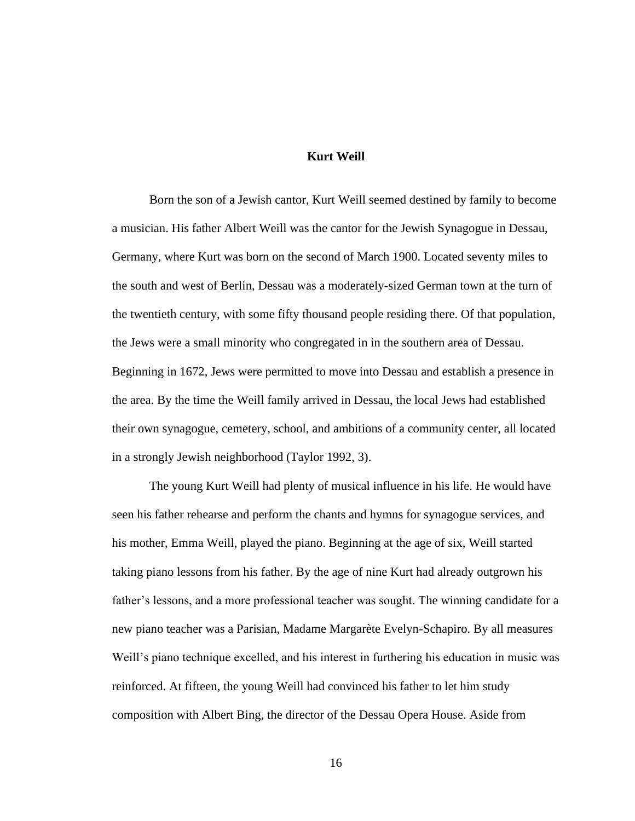### **Kurt Weill**

Born the son of a Jewish cantor, Kurt Weill seemed destined by family to become a musician. His father Albert Weill was the cantor for the Jewish Synagogue in Dessau, Germany, where Kurt was born on the second of March 1900. Located seventy miles to the south and west of Berlin, Dessau was a moderately-sized German town at the turn of the twentieth century, with some fifty thousand people residing there. Of that population, the Jews were a small minority who congregated in in the southern area of Dessau. Beginning in 1672, Jews were permitted to move into Dessau and establish a presence in the area. By the time the Weill family arrived in Dessau, the local Jews had established their own synagogue, cemetery, school, and ambitions of a community center, all located in a strongly Jewish neighborhood (Taylor 1992, 3).

The young Kurt Weill had plenty of musical influence in his life. He would have seen his father rehearse and perform the chants and hymns for synagogue services, and his mother, Emma Weill, played the piano. Beginning at the age of six, Weill started taking piano lessons from his father. By the age of nine Kurt had already outgrown his father's lessons, and a more professional teacher was sought. The winning candidate for a new piano teacher was a Parisian, Madame Margarète Evelyn-Schapiro. By all measures Weill's piano technique excelled, and his interest in furthering his education in music was reinforced. At fifteen, the young Weill had convinced his father to let him study composition with Albert Bing, the director of the Dessau Opera House. Aside from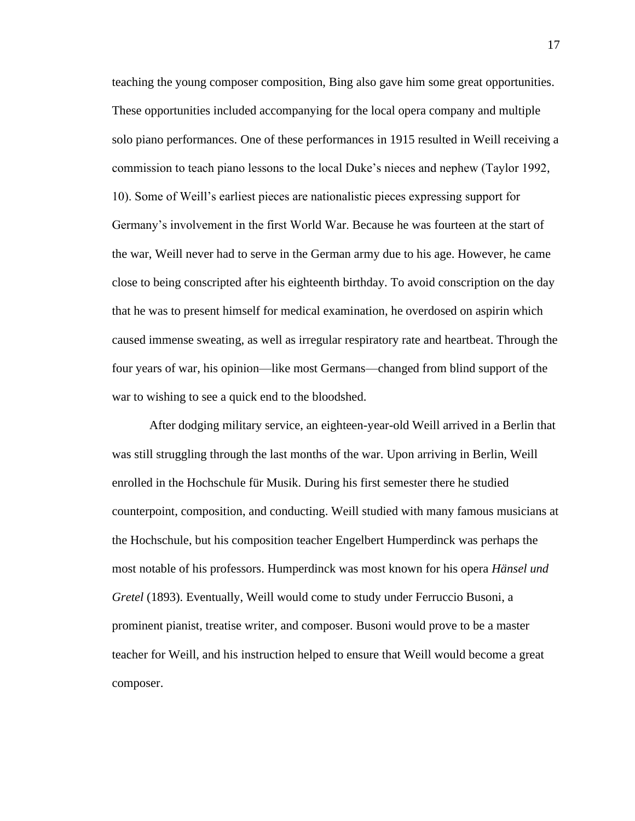teaching the young composer composition, Bing also gave him some great opportunities. These opportunities included accompanying for the local opera company and multiple solo piano performances. One of these performances in 1915 resulted in Weill receiving a commission to teach piano lessons to the local Duke's nieces and nephew (Taylor 1992, 10). Some of Weill's earliest pieces are nationalistic pieces expressing support for Germany's involvement in the first World War. Because he was fourteen at the start of the war, Weill never had to serve in the German army due to his age. However, he came close to being conscripted after his eighteenth birthday. To avoid conscription on the day that he was to present himself for medical examination, he overdosed on aspirin which caused immense sweating, as well as irregular respiratory rate and heartbeat. Through the four years of war, his opinion—like most Germans—changed from blind support of the war to wishing to see a quick end to the bloodshed.

After dodging military service, an eighteen-year-old Weill arrived in a Berlin that was still struggling through the last months of the war. Upon arriving in Berlin, Weill enrolled in the Hochschule für Musik. During his first semester there he studied counterpoint, composition, and conducting. Weill studied with many famous musicians at the Hochschule, but his composition teacher Engelbert Humperdinck was perhaps the most notable of his professors. Humperdinck was most known for his opera *Hänsel und Gretel* (1893). Eventually, Weill would come to study under Ferruccio Busoni, a prominent pianist, treatise writer, and composer. Busoni would prove to be a master teacher for Weill, and his instruction helped to ensure that Weill would become a great composer.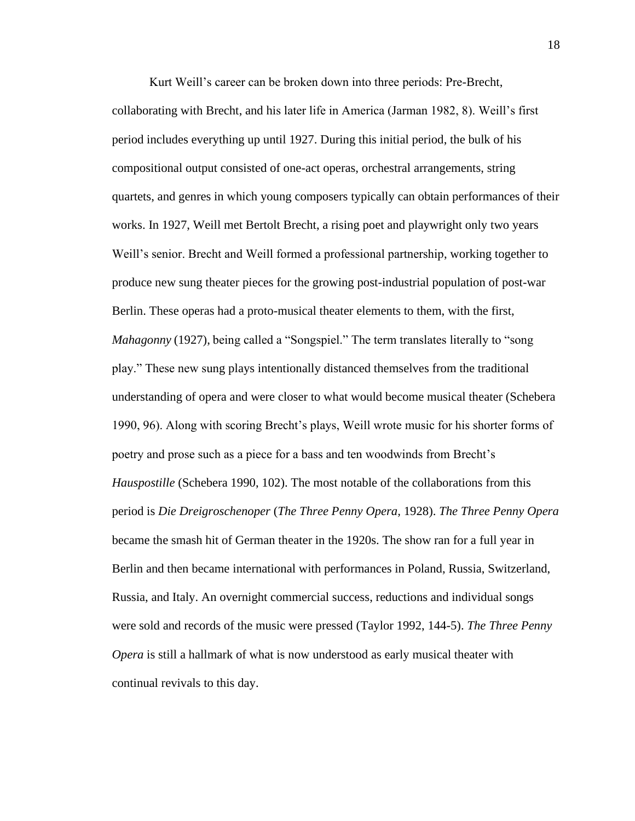Kurt Weill's career can be broken down into three periods: Pre-Brecht, collaborating with Brecht, and his later life in America (Jarman 1982, 8). Weill's first period includes everything up until 1927. During this initial period, the bulk of his compositional output consisted of one-act operas, orchestral arrangements, string quartets, and genres in which young composers typically can obtain performances of their works. In 1927, Weill met Bertolt Brecht, a rising poet and playwright only two years Weill's senior. Brecht and Weill formed a professional partnership, working together to produce new sung theater pieces for the growing post-industrial population of post-war Berlin. These operas had a proto-musical theater elements to them, with the first, *Mahagonny* (1927), being called a "Songspiel." The term translates literally to "song play." These new sung plays intentionally distanced themselves from the traditional understanding of opera and were closer to what would become musical theater (Schebera 1990, 96). Along with scoring Brecht's plays, Weill wrote music for his shorter forms of poetry and prose such as a piece for a bass and ten woodwinds from Brecht's *Hauspostille* (Schebera 1990, 102). The most notable of the collaborations from this period is *Die Dreigroschenoper* (*The Three Penny Opera,* 1928). *The Three Penny Opera*  became the smash hit of German theater in the 1920s. The show ran for a full year in Berlin and then became international with performances in Poland, Russia, Switzerland, Russia, and Italy. An overnight commercial success, reductions and individual songs were sold and records of the music were pressed (Taylor 1992, 144-5). *The Three Penny Opera* is still a hallmark of what is now understood as early musical theater with continual revivals to this day.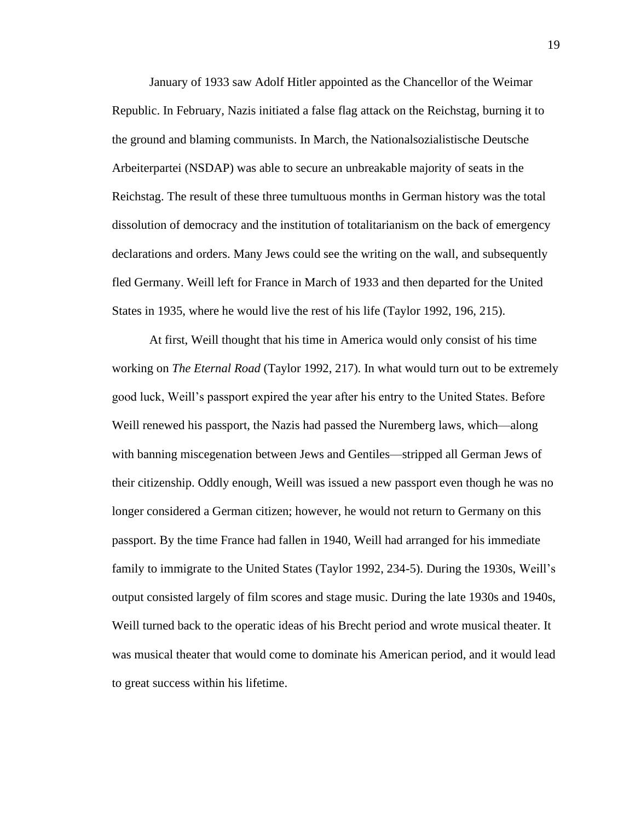January of 1933 saw Adolf Hitler appointed as the Chancellor of the Weimar Republic. In February, Nazis initiated a false flag attack on the Reichstag, burning it to the ground and blaming communists. In March, the Nationalsozialistische Deutsche Arbeiterpartei (NSDAP) was able to secure an unbreakable majority of seats in the Reichstag. The result of these three tumultuous months in German history was the total dissolution of democracy and the institution of totalitarianism on the back of emergency declarations and orders. Many Jews could see the writing on the wall, and subsequently fled Germany. Weill left for France in March of 1933 and then departed for the United States in 1935, where he would live the rest of his life (Taylor 1992, 196, 215).

At first, Weill thought that his time in America would only consist of his time working on *The Eternal Road* (Taylor 1992, 217). In what would turn out to be extremely good luck, Weill's passport expired the year after his entry to the United States. Before Weill renewed his passport, the Nazis had passed the Nuremberg laws, which—along with banning miscegenation between Jews and Gentiles—stripped all German Jews of their citizenship. Oddly enough, Weill was issued a new passport even though he was no longer considered a German citizen; however, he would not return to Germany on this passport. By the time France had fallen in 1940, Weill had arranged for his immediate family to immigrate to the United States (Taylor 1992, 234-5). During the 1930s, Weill's output consisted largely of film scores and stage music. During the late 1930s and 1940s, Weill turned back to the operatic ideas of his Brecht period and wrote musical theater. It was musical theater that would come to dominate his American period, and it would lead to great success within his lifetime.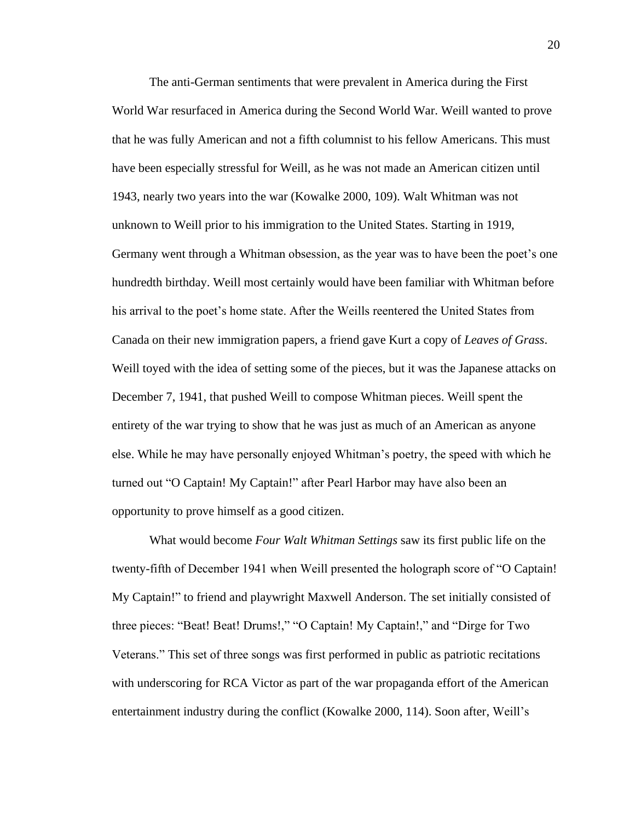The anti-German sentiments that were prevalent in America during the First World War resurfaced in America during the Second World War. Weill wanted to prove that he was fully American and not a fifth columnist to his fellow Americans. This must have been especially stressful for Weill, as he was not made an American citizen until 1943, nearly two years into the war (Kowalke 2000, 109). Walt Whitman was not unknown to Weill prior to his immigration to the United States. Starting in 1919, Germany went through a Whitman obsession, as the year was to have been the poet's one hundredth birthday. Weill most certainly would have been familiar with Whitman before his arrival to the poet's home state. After the Weills reentered the United States from Canada on their new immigration papers, a friend gave Kurt a copy of *Leaves of Grass*. Weill toyed with the idea of setting some of the pieces, but it was the Japanese attacks on December 7, 1941, that pushed Weill to compose Whitman pieces. Weill spent the entirety of the war trying to show that he was just as much of an American as anyone else. While he may have personally enjoyed Whitman's poetry, the speed with which he turned out "O Captain! My Captain!" after Pearl Harbor may have also been an opportunity to prove himself as a good citizen.

What would become *Four Walt Whitman Settings* saw its first public life on the twenty-fifth of December 1941 when Weill presented the holograph score of "O Captain! My Captain!" to friend and playwright Maxwell Anderson. The set initially consisted of three pieces: "Beat! Beat! Drums!," "O Captain! My Captain!," and "Dirge for Two Veterans." This set of three songs was first performed in public as patriotic recitations with underscoring for RCA Victor as part of the war propaganda effort of the American entertainment industry during the conflict (Kowalke 2000, 114). Soon after, Weill's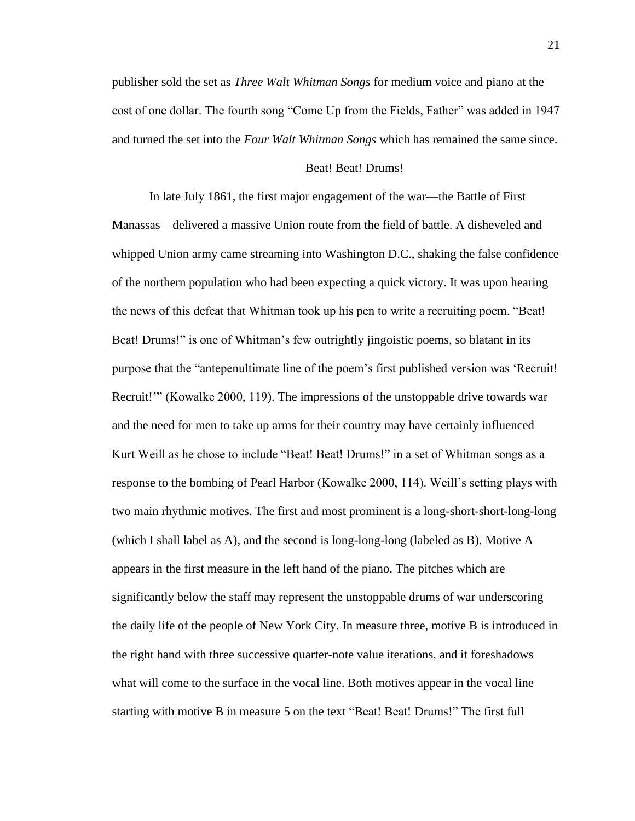publisher sold the set as *Three Walt Whitman Songs* for medium voice and piano at the cost of one dollar. The fourth song "Come Up from the Fields, Father" was added in 1947 and turned the set into the *Four Walt Whitman Songs* which has remained the same since.

#### Beat! Beat! Drums!

In late July 1861, the first major engagement of the war—the Battle of First Manassas—delivered a massive Union route from the field of battle. A disheveled and whipped Union army came streaming into Washington D.C., shaking the false confidence of the northern population who had been expecting a quick victory. It was upon hearing the news of this defeat that Whitman took up his pen to write a recruiting poem. "Beat! Beat! Drums!" is one of Whitman's few outrightly jingoistic poems, so blatant in its purpose that the "antepenultimate line of the poem's first published version was 'Recruit! Recruit!'" (Kowalke 2000, 119). The impressions of the unstoppable drive towards war and the need for men to take up arms for their country may have certainly influenced Kurt Weill as he chose to include "Beat! Beat! Drums!" in a set of Whitman songs as a response to the bombing of Pearl Harbor (Kowalke 2000, 114). Weill's setting plays with two main rhythmic motives. The first and most prominent is a long-short-short-long-long (which I shall label as A), and the second is long-long-long (labeled as B). Motive A appears in the first measure in the left hand of the piano. The pitches which are significantly below the staff may represent the unstoppable drums of war underscoring the daily life of the people of New York City. In measure three, motive B is introduced in the right hand with three successive quarter-note value iterations, and it foreshadows what will come to the surface in the vocal line. Both motives appear in the vocal line starting with motive B in measure 5 on the text "Beat! Beat! Drums!" The first full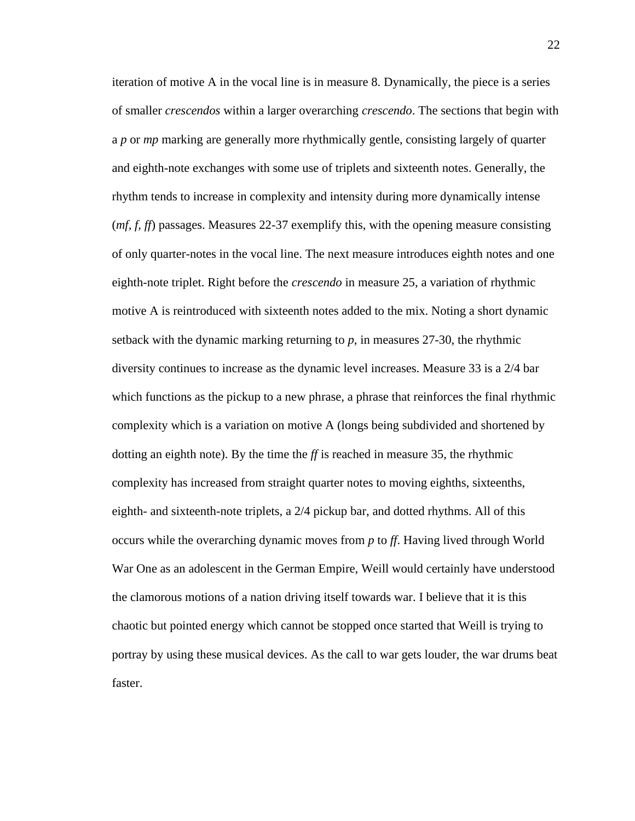iteration of motive A in the vocal line is in measure 8. Dynamically, the piece is a series of smaller *crescendos* within a larger overarching *crescendo*. The sections that begin with a *p* or *mp* marking are generally more rhythmically gentle, consisting largely of quarter and eighth-note exchanges with some use of triplets and sixteenth notes. Generally, the rhythm tends to increase in complexity and intensity during more dynamically intense (*mf, f, ff*) passages. Measures 22-37 exemplify this, with the opening measure consisting of only quarter-notes in the vocal line. The next measure introduces eighth notes and one eighth-note triplet. Right before the *crescendo* in measure 25, a variation of rhythmic motive A is reintroduced with sixteenth notes added to the mix. Noting a short dynamic setback with the dynamic marking returning to *p*, in measures 27-30, the rhythmic diversity continues to increase as the dynamic level increases. Measure 33 is a 2/4 bar which functions as the pickup to a new phrase, a phrase that reinforces the final rhythmic complexity which is a variation on motive A (longs being subdivided and shortened by dotting an eighth note). By the time the *ff* is reached in measure 35, the rhythmic complexity has increased from straight quarter notes to moving eighths, sixteenths, eighth- and sixteenth-note triplets, a 2/4 pickup bar, and dotted rhythms. All of this occurs while the overarching dynamic moves from *p* to *ff*. Having lived through World War One as an adolescent in the German Empire, Weill would certainly have understood the clamorous motions of a nation driving itself towards war. I believe that it is this chaotic but pointed energy which cannot be stopped once started that Weill is trying to portray by using these musical devices. As the call to war gets louder, the war drums beat faster.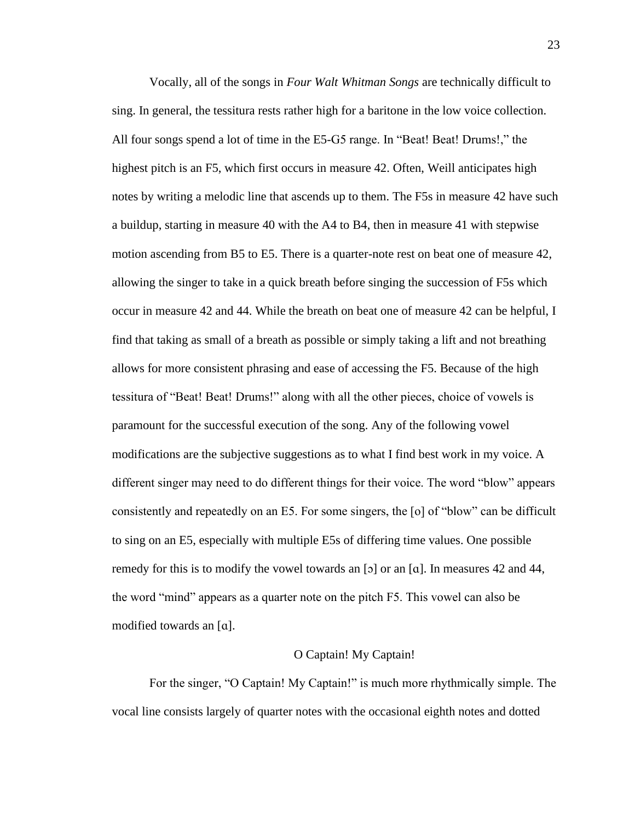Vocally, all of the songs in *Four Walt Whitman Songs* are technically difficult to sing. In general, the tessitura rests rather high for a baritone in the low voice collection. All four songs spend a lot of time in the E5-G5 range. In "Beat! Beat! Drums!," the highest pitch is an F5, which first occurs in measure 42. Often, Weill anticipates high notes by writing a melodic line that ascends up to them. The F5s in measure 42 have such a buildup, starting in measure 40 with the A4 to B4, then in measure 41 with stepwise motion ascending from B5 to E5. There is a quarter-note rest on beat one of measure 42, allowing the singer to take in a quick breath before singing the succession of F5s which occur in measure 42 and 44. While the breath on beat one of measure 42 can be helpful, I find that taking as small of a breath as possible or simply taking a lift and not breathing allows for more consistent phrasing and ease of accessing the F5. Because of the high tessitura of "Beat! Beat! Drums!" along with all the other pieces, choice of vowels is paramount for the successful execution of the song. Any of the following vowel modifications are the subjective suggestions as to what I find best work in my voice. A different singer may need to do different things for their voice. The word "blow" appears consistently and repeatedly on an E5. For some singers, the [o] of "blow" can be difficult to sing on an E5, especially with multiple E5s of differing time values. One possible remedy for this is to modify the vowel towards an [ɔ] or an [a]. In measures 42 and 44, the word "mind" appears as a quarter note on the pitch F5. This vowel can also be modified towards an [ɑ].

#### O Captain! My Captain!

For the singer, "O Captain! My Captain!" is much more rhythmically simple. The vocal line consists largely of quarter notes with the occasional eighth notes and dotted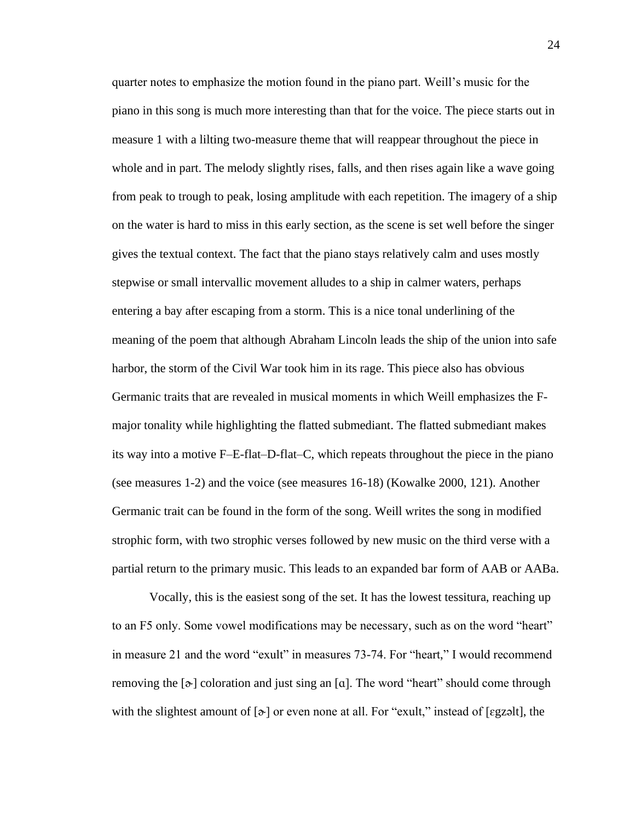quarter notes to emphasize the motion found in the piano part. Weill's music for the piano in this song is much more interesting than that for the voice. The piece starts out in measure 1 with a lilting two-measure theme that will reappear throughout the piece in whole and in part. The melody slightly rises, falls, and then rises again like a wave going from peak to trough to peak, losing amplitude with each repetition. The imagery of a ship on the water is hard to miss in this early section, as the scene is set well before the singer gives the textual context. The fact that the piano stays relatively calm and uses mostly stepwise or small intervallic movement alludes to a ship in calmer waters, perhaps entering a bay after escaping from a storm. This is a nice tonal underlining of the meaning of the poem that although Abraham Lincoln leads the ship of the union into safe harbor, the storm of the Civil War took him in its rage. This piece also has obvious Germanic traits that are revealed in musical moments in which Weill emphasizes the Fmajor tonality while highlighting the flatted submediant. The flatted submediant makes its way into a motive F–E-flat–D-flat–C, which repeats throughout the piece in the piano (see measures 1-2) and the voice (see measures 16-18) (Kowalke 2000, 121). Another Germanic trait can be found in the form of the song. Weill writes the song in modified strophic form, with two strophic verses followed by new music on the third verse with a partial return to the primary music. This leads to an expanded bar form of AAB or AABa.

Vocally, this is the easiest song of the set. It has the lowest tessitura, reaching up to an F5 only. Some vowel modifications may be necessary, such as on the word "heart" in measure 21 and the word "exult" in measures 73-74. For "heart," I would recommend removing the  $\lceil \phi \rceil$  coloration and just sing an  $\lceil \alpha \rceil$ . The word "heart" should come through with the slightest amount of  $[\infty]$  or even none at all. For "exult," instead of [egzəlt], the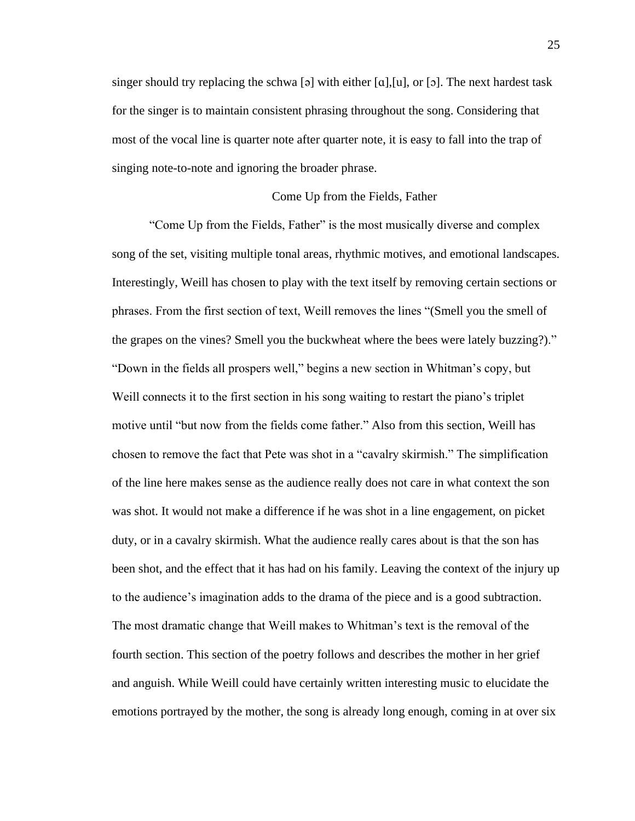singer should try replacing the schwa [ə] with either [a], [u], or [ɔ]. The next hardest task for the singer is to maintain consistent phrasing throughout the song. Considering that most of the vocal line is quarter note after quarter note, it is easy to fall into the trap of singing note-to-note and ignoring the broader phrase.

#### Come Up from the Fields, Father

"Come Up from the Fields, Father" is the most musically diverse and complex song of the set, visiting multiple tonal areas, rhythmic motives, and emotional landscapes. Interestingly, Weill has chosen to play with the text itself by removing certain sections or phrases. From the first section of text, Weill removes the lines "(Smell you the smell of the grapes on the vines? Smell you the buckwheat where the bees were lately buzzing?)." "Down in the fields all prospers well," begins a new section in Whitman's copy, but Weill connects it to the first section in his song waiting to restart the piano's triplet motive until "but now from the fields come father." Also from this section, Weill has chosen to remove the fact that Pete was shot in a "cavalry skirmish." The simplification of the line here makes sense as the audience really does not care in what context the son was shot. It would not make a difference if he was shot in a line engagement, on picket duty, or in a cavalry skirmish. What the audience really cares about is that the son has been shot, and the effect that it has had on his family. Leaving the context of the injury up to the audience's imagination adds to the drama of the piece and is a good subtraction. The most dramatic change that Weill makes to Whitman's text is the removal of the fourth section. This section of the poetry follows and describes the mother in her grief and anguish. While Weill could have certainly written interesting music to elucidate the emotions portrayed by the mother, the song is already long enough, coming in at over six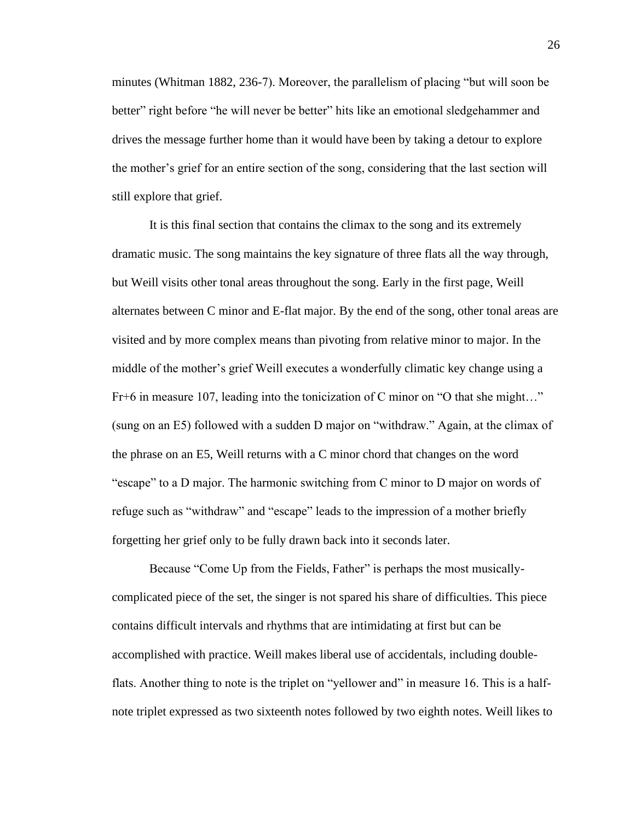minutes (Whitman 1882, 236-7). Moreover, the parallelism of placing "but will soon be better" right before "he will never be better" hits like an emotional sledgehammer and drives the message further home than it would have been by taking a detour to explore the mother's grief for an entire section of the song, considering that the last section will still explore that grief.

It is this final section that contains the climax to the song and its extremely dramatic music. The song maintains the key signature of three flats all the way through, but Weill visits other tonal areas throughout the song. Early in the first page, Weill alternates between C minor and E-flat major. By the end of the song, other tonal areas are visited and by more complex means than pivoting from relative minor to major. In the middle of the mother's grief Weill executes a wonderfully climatic key change using a Fr+6 in measure 107, leading into the tonicization of C minor on "O that she might…" (sung on an E5) followed with a sudden D major on "withdraw." Again, at the climax of the phrase on an E5, Weill returns with a C minor chord that changes on the word "escape" to a D major. The harmonic switching from C minor to D major on words of refuge such as "withdraw" and "escape" leads to the impression of a mother briefly forgetting her grief only to be fully drawn back into it seconds later.

Because "Come Up from the Fields, Father" is perhaps the most musicallycomplicated piece of the set, the singer is not spared his share of difficulties. This piece contains difficult intervals and rhythms that are intimidating at first but can be accomplished with practice. Weill makes liberal use of accidentals, including doubleflats. Another thing to note is the triplet on "yellower and" in measure 16. This is a halfnote triplet expressed as two sixteenth notes followed by two eighth notes. Weill likes to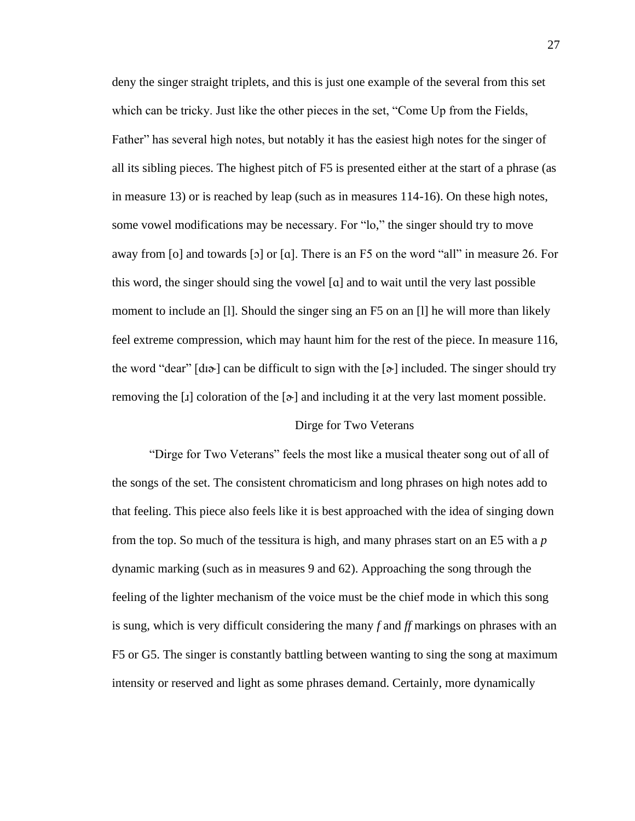deny the singer straight triplets, and this is just one example of the several from this set which can be tricky. Just like the other pieces in the set, "Come Up from the Fields, Father" has several high notes, but notably it has the easiest high notes for the singer of all its sibling pieces. The highest pitch of F5 is presented either at the start of a phrase (as in measure 13) or is reached by leap (such as in measures 114-16). On these high notes, some vowel modifications may be necessary. For "lo," the singer should try to move away from [o] and towards [ɔ] or [ɑ]. There is an F5 on the word "all" in measure 26. For this word, the singer should sing the vowel [ɑ] and to wait until the very last possible moment to include an [l]. Should the singer sing an F5 on an [l] he will more than likely feel extreme compression, which may haunt him for the rest of the piece. In measure 116, the word "dear"  $\lceil d\uparrow \rangle$  can be difficult to sign with the  $\lceil \uparrow \rangle$  included. The singer should try removing the [ $\mathbf{I}$ ] coloration of the [ $\mathbf{\hat{e}}$ ] and including it at the very last moment possible.

#### Dirge for Two Veterans

"Dirge for Two Veterans" feels the most like a musical theater song out of all of the songs of the set. The consistent chromaticism and long phrases on high notes add to that feeling. This piece also feels like it is best approached with the idea of singing down from the top. So much of the tessitura is high, and many phrases start on an E5 with a *p* dynamic marking (such as in measures 9 and 62). Approaching the song through the feeling of the lighter mechanism of the voice must be the chief mode in which this song is sung, which is very difficult considering the many *f* and *ff* markings on phrases with an F5 or G5. The singer is constantly battling between wanting to sing the song at maximum intensity or reserved and light as some phrases demand. Certainly, more dynamically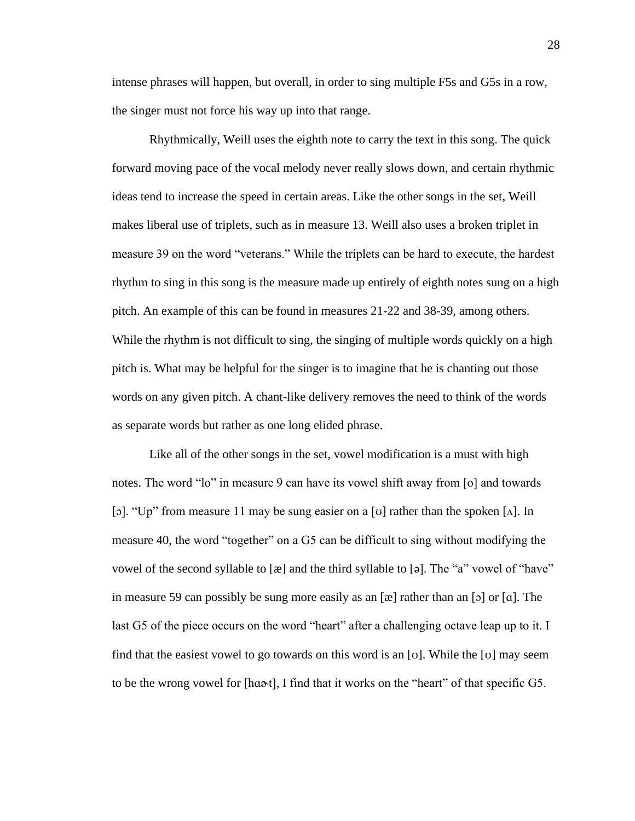intense phrases will happen, but overall, in order to sing multiple F5s and G5s in a row, the singer must not force his way up into that range.

Rhythmically, Weill uses the eighth note to carry the text in this song. The quick forward moving pace of the vocal melody never really slows down, and certain rhythmic ideas tend to increase the speed in certain areas. Like the other songs in the set, Weill makes liberal use of triplets, such as in measure 13. Weill also uses a broken triplet in measure 39 on the word "veterans." While the triplets can be hard to execute, the hardest rhythm to sing in this song is the measure made up entirely of eighth notes sung on a high pitch. An example of this can be found in measures 21-22 and 38-39, among others. While the rhythm is not difficult to sing, the singing of multiple words quickly on a high pitch is. What may be helpful for the singer is to imagine that he is chanting out those words on any given pitch. A chant-like delivery removes the need to think of the words as separate words but rather as one long elided phrase.

Like all of the other songs in the set, vowel modification is a must with high notes. The word "lo" in measure 9 can have its vowel shift away from [o] and towards [ɔ]. "Up" from measure 11 may be sung easier on a [v] rather than the spoken [ $\Lambda$ ]. In measure 40, the word "together" on a G5 can be difficult to sing without modifying the vowel of the second syllable to  $[\mathcal{R}]$  and the third syllable to  $[\circ]$ . The "a" vowel of "have" in measure 59 can possibly be sung more easily as an  $[\mathcal{R}]$  rather than an  $[\circ]$  or  $[\alpha]$ . The last G5 of the piece occurs on the word "heart" after a challenging octave leap up to it. I find that the easiest vowel to go towards on this word is an [v]. While the [v] may seem to be the wrong vowel for [hɑː<del>o</del>t], I find that it works on the "heart" of that specific G5.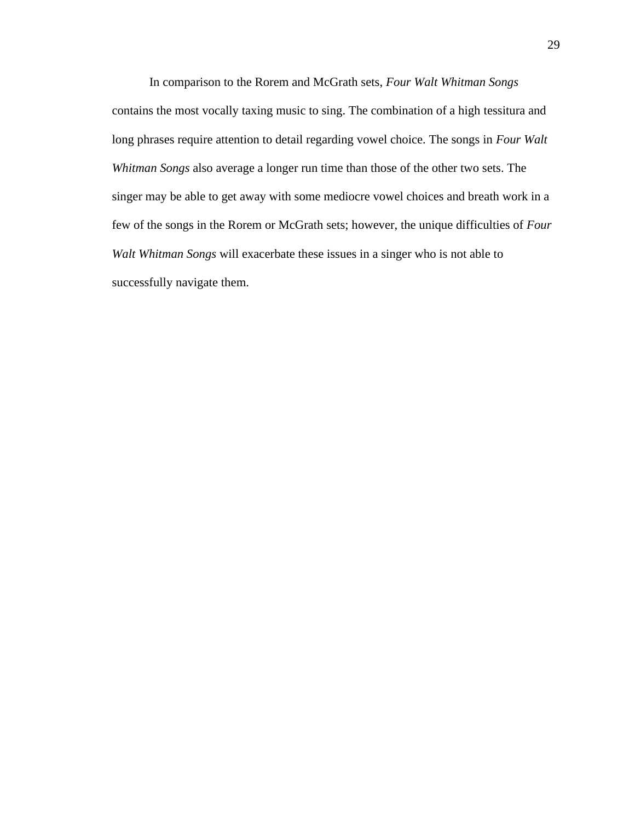In comparison to the Rorem and McGrath sets, *Four Walt Whitman Songs* contains the most vocally taxing music to sing. The combination of a high tessitura and long phrases require attention to detail regarding vowel choice. The songs in *Four Walt Whitman Songs* also average a longer run time than those of the other two sets. The singer may be able to get away with some mediocre vowel choices and breath work in a few of the songs in the Rorem or McGrath sets; however, the unique difficulties of *Four Walt Whitman Songs* will exacerbate these issues in a singer who is not able to successfully navigate them.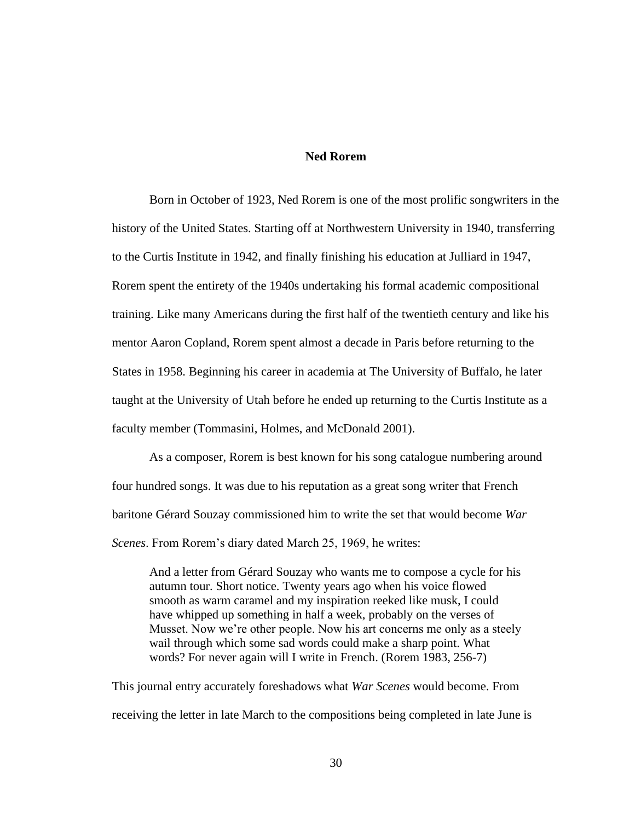#### **Ned Rorem**

Born in October of 1923, Ned Rorem is one of the most prolific songwriters in the history of the United States. Starting off at Northwestern University in 1940, transferring to the Curtis Institute in 1942, and finally finishing his education at Julliard in 1947, Rorem spent the entirety of the 1940s undertaking his formal academic compositional training. Like many Americans during the first half of the twentieth century and like his mentor Aaron Copland, Rorem spent almost a decade in Paris before returning to the States in 1958. Beginning his career in academia at The University of Buffalo, he later taught at the University of Utah before he ended up returning to the Curtis Institute as a faculty member (Tommasini, Holmes, and McDonald 2001).

As a composer, Rorem is best known for his song catalogue numbering around four hundred songs. It was due to his reputation as a great song writer that French baritone Gérard Souzay commissioned him to write the set that would become *War Scenes*. From Rorem's diary dated March 25, 1969, he writes:

And a letter from Gérard Souzay who wants me to compose a cycle for his autumn tour. Short notice. Twenty years ago when his voice flowed smooth as warm caramel and my inspiration reeked like musk, I could have whipped up something in half a week, probably on the verses of Musset. Now we're other people. Now his art concerns me only as a steely wail through which some sad words could make a sharp point. What words? For never again will I write in French. (Rorem 1983, 256-7)

This journal entry accurately foreshadows what *War Scenes* would become. From receiving the letter in late March to the compositions being completed in late June is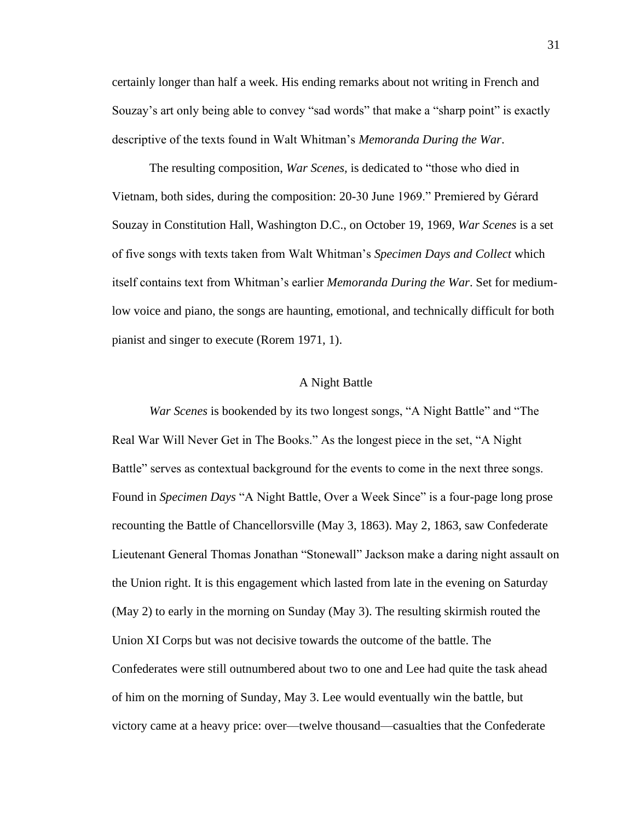certainly longer than half a week. His ending remarks about not writing in French and Souzay's art only being able to convey "sad words" that make a "sharp point" is exactly descriptive of the texts found in Walt Whitman's *Memoranda During the War*.

The resulting composition, *War Scenes,* is dedicated to "those who died in Vietnam, both sides, during the composition: 20-30 June 1969." Premiered by Gérard Souzay in Constitution Hall, Washington D.C., on October 19, 1969, *War Scenes* is a set of five songs with texts taken from Walt Whitman's *Specimen Days and Collect* which itself contains text from Whitman's earlier *Memoranda During the War*. Set for mediumlow voice and piano, the songs are haunting, emotional, and technically difficult for both pianist and singer to execute (Rorem 1971, 1).

#### A Night Battle

*War Scenes* is bookended by its two longest songs, "A Night Battle" and "The Real War Will Never Get in The Books." As the longest piece in the set, "A Night Battle" serves as contextual background for the events to come in the next three songs. Found in *Specimen Days* "A Night Battle, Over a Week Since" is a four-page long prose recounting the Battle of Chancellorsville (May 3, 1863). May 2, 1863, saw Confederate Lieutenant General Thomas Jonathan "Stonewall" Jackson make a daring night assault on the Union right. It is this engagement which lasted from late in the evening on Saturday (May 2) to early in the morning on Sunday (May 3). The resulting skirmish routed the Union XI Corps but was not decisive towards the outcome of the battle. The Confederates were still outnumbered about two to one and Lee had quite the task ahead of him on the morning of Sunday, May 3. Lee would eventually win the battle, but victory came at a heavy price: over—twelve thousand—casualties that the Confederate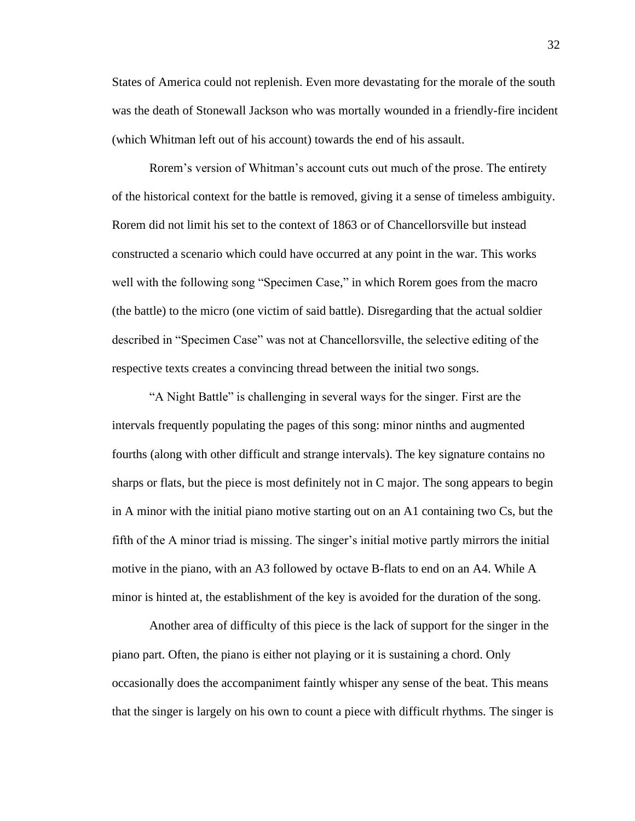States of America could not replenish. Even more devastating for the morale of the south was the death of Stonewall Jackson who was mortally wounded in a friendly-fire incident (which Whitman left out of his account) towards the end of his assault.

Rorem's version of Whitman's account cuts out much of the prose. The entirety of the historical context for the battle is removed, giving it a sense of timeless ambiguity. Rorem did not limit his set to the context of 1863 or of Chancellorsville but instead constructed a scenario which could have occurred at any point in the war. This works well with the following song "Specimen Case," in which Rorem goes from the macro (the battle) to the micro (one victim of said battle). Disregarding that the actual soldier described in "Specimen Case" was not at Chancellorsville, the selective editing of the respective texts creates a convincing thread between the initial two songs.

"A Night Battle" is challenging in several ways for the singer. First are the intervals frequently populating the pages of this song: minor ninths and augmented fourths (along with other difficult and strange intervals). The key signature contains no sharps or flats, but the piece is most definitely not in C major. The song appears to begin in A minor with the initial piano motive starting out on an A1 containing two Cs, but the fifth of the A minor triad is missing. The singer's initial motive partly mirrors the initial motive in the piano, with an A3 followed by octave B-flats to end on an A4. While A minor is hinted at, the establishment of the key is avoided for the duration of the song.

Another area of difficulty of this piece is the lack of support for the singer in the piano part. Often, the piano is either not playing or it is sustaining a chord. Only occasionally does the accompaniment faintly whisper any sense of the beat. This means that the singer is largely on his own to count a piece with difficult rhythms. The singer is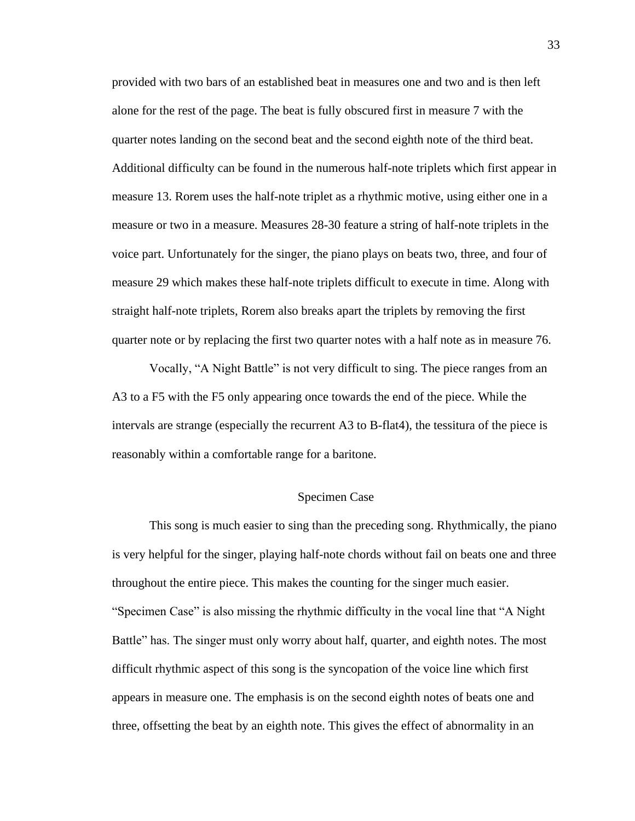provided with two bars of an established beat in measures one and two and is then left alone for the rest of the page. The beat is fully obscured first in measure 7 with the quarter notes landing on the second beat and the second eighth note of the third beat. Additional difficulty can be found in the numerous half-note triplets which first appear in measure 13. Rorem uses the half-note triplet as a rhythmic motive, using either one in a measure or two in a measure. Measures 28-30 feature a string of half-note triplets in the voice part. Unfortunately for the singer, the piano plays on beats two, three, and four of measure 29 which makes these half-note triplets difficult to execute in time. Along with straight half-note triplets, Rorem also breaks apart the triplets by removing the first quarter note or by replacing the first two quarter notes with a half note as in measure 76.

Vocally, "A Night Battle" is not very difficult to sing. The piece ranges from an A3 to a F5 with the F5 only appearing once towards the end of the piece. While the intervals are strange (especially the recurrent A3 to B-flat4), the tessitura of the piece is reasonably within a comfortable range for a baritone.

#### Specimen Case

This song is much easier to sing than the preceding song. Rhythmically, the piano is very helpful for the singer, playing half-note chords without fail on beats one and three throughout the entire piece. This makes the counting for the singer much easier. "Specimen Case" is also missing the rhythmic difficulty in the vocal line that "A Night Battle" has. The singer must only worry about half, quarter, and eighth notes. The most difficult rhythmic aspect of this song is the syncopation of the voice line which first appears in measure one. The emphasis is on the second eighth notes of beats one and three, offsetting the beat by an eighth note. This gives the effect of abnormality in an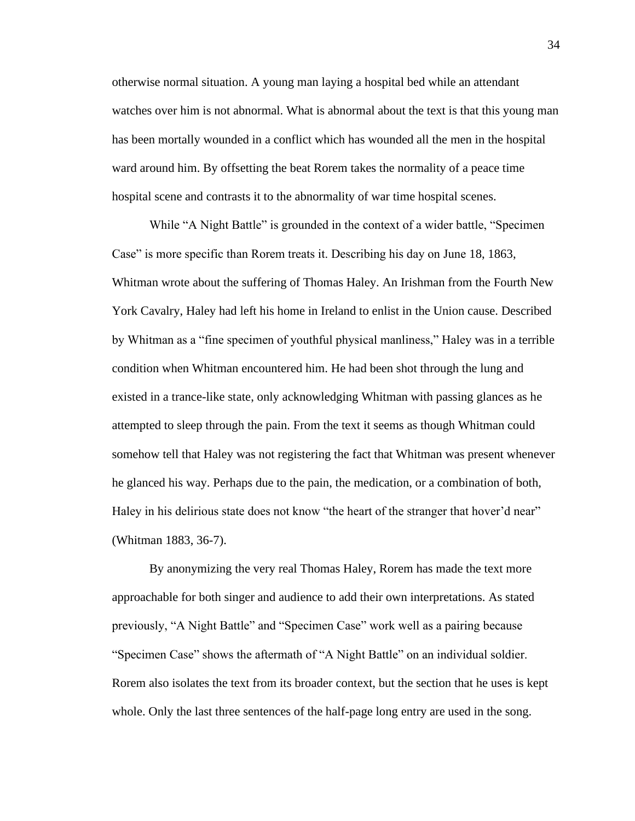otherwise normal situation. A young man laying a hospital bed while an attendant watches over him is not abnormal. What is abnormal about the text is that this young man has been mortally wounded in a conflict which has wounded all the men in the hospital ward around him. By offsetting the beat Rorem takes the normality of a peace time hospital scene and contrasts it to the abnormality of war time hospital scenes.

While "A Night Battle" is grounded in the context of a wider battle, "Specimen Case" is more specific than Rorem treats it. Describing his day on June 18, 1863, Whitman wrote about the suffering of Thomas Haley. An Irishman from the Fourth New York Cavalry, Haley had left his home in Ireland to enlist in the Union cause. Described by Whitman as a "fine specimen of youthful physical manliness," Haley was in a terrible condition when Whitman encountered him. He had been shot through the lung and existed in a trance-like state, only acknowledging Whitman with passing glances as he attempted to sleep through the pain. From the text it seems as though Whitman could somehow tell that Haley was not registering the fact that Whitman was present whenever he glanced his way. Perhaps due to the pain, the medication, or a combination of both, Haley in his delirious state does not know "the heart of the stranger that hover'd near" (Whitman 1883, 36-7).

By anonymizing the very real Thomas Haley, Rorem has made the text more approachable for both singer and audience to add their own interpretations. As stated previously, "A Night Battle" and "Specimen Case" work well as a pairing because "Specimen Case" shows the aftermath of "A Night Battle" on an individual soldier. Rorem also isolates the text from its broader context, but the section that he uses is kept whole. Only the last three sentences of the half-page long entry are used in the song.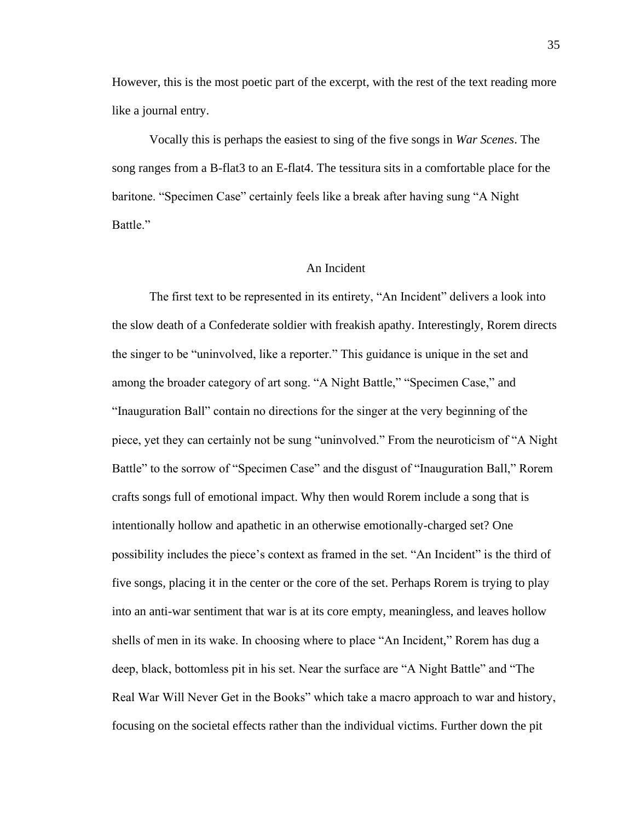However, this is the most poetic part of the excerpt, with the rest of the text reading more like a journal entry.

Vocally this is perhaps the easiest to sing of the five songs in *War Scenes*. The song ranges from a B-flat3 to an E-flat4. The tessitura sits in a comfortable place for the baritone. "Specimen Case" certainly feels like a break after having sung "A Night Battle."

# An Incident

The first text to be represented in its entirety, "An Incident" delivers a look into the slow death of a Confederate soldier with freakish apathy. Interestingly, Rorem directs the singer to be "uninvolved, like a reporter." This guidance is unique in the set and among the broader category of art song. "A Night Battle," "Specimen Case," and "Inauguration Ball" contain no directions for the singer at the very beginning of the piece, yet they can certainly not be sung "uninvolved." From the neuroticism of "A Night Battle" to the sorrow of "Specimen Case" and the disgust of "Inauguration Ball," Rorem crafts songs full of emotional impact. Why then would Rorem include a song that is intentionally hollow and apathetic in an otherwise emotionally-charged set? One possibility includes the piece's context as framed in the set. "An Incident" is the third of five songs, placing it in the center or the core of the set. Perhaps Rorem is trying to play into an anti-war sentiment that war is at its core empty, meaningless, and leaves hollow shells of men in its wake. In choosing where to place "An Incident," Rorem has dug a deep, black, bottomless pit in his set. Near the surface are "A Night Battle" and "The Real War Will Never Get in the Books" which take a macro approach to war and history, focusing on the societal effects rather than the individual victims. Further down the pit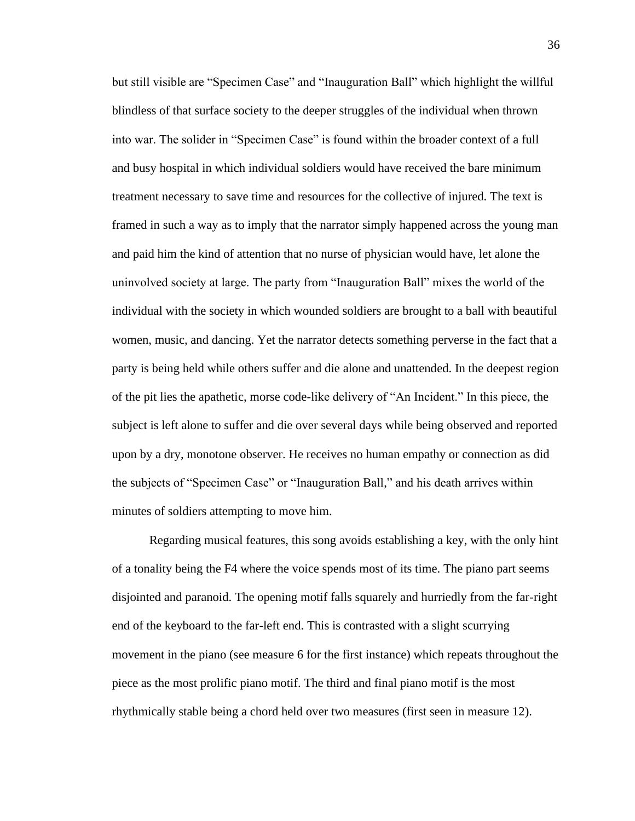but still visible are "Specimen Case" and "Inauguration Ball" which highlight the willful blindless of that surface society to the deeper struggles of the individual when thrown into war. The solider in "Specimen Case" is found within the broader context of a full and busy hospital in which individual soldiers would have received the bare minimum treatment necessary to save time and resources for the collective of injured. The text is framed in such a way as to imply that the narrator simply happened across the young man and paid him the kind of attention that no nurse of physician would have, let alone the uninvolved society at large. The party from "Inauguration Ball" mixes the world of the individual with the society in which wounded soldiers are brought to a ball with beautiful women, music, and dancing. Yet the narrator detects something perverse in the fact that a party is being held while others suffer and die alone and unattended. In the deepest region of the pit lies the apathetic, morse code-like delivery of "An Incident." In this piece, the subject is left alone to suffer and die over several days while being observed and reported upon by a dry, monotone observer. He receives no human empathy or connection as did the subjects of "Specimen Case" or "Inauguration Ball," and his death arrives within minutes of soldiers attempting to move him.

Regarding musical features, this song avoids establishing a key, with the only hint of a tonality being the F4 where the voice spends most of its time. The piano part seems disjointed and paranoid. The opening motif falls squarely and hurriedly from the far-right end of the keyboard to the far-left end. This is contrasted with a slight scurrying movement in the piano (see measure 6 for the first instance) which repeats throughout the piece as the most prolific piano motif. The third and final piano motif is the most rhythmically stable being a chord held over two measures (first seen in measure 12).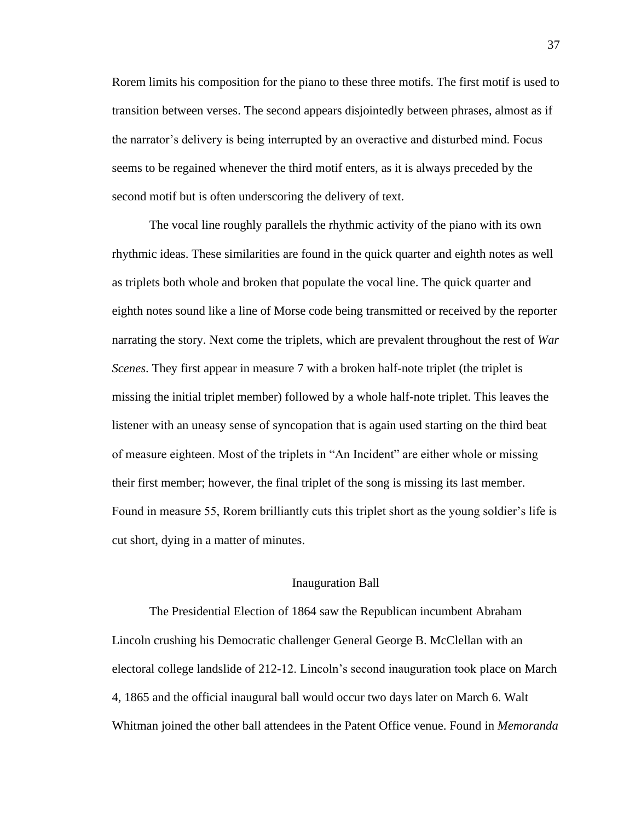Rorem limits his composition for the piano to these three motifs. The first motif is used to transition between verses. The second appears disjointedly between phrases, almost as if the narrator's delivery is being interrupted by an overactive and disturbed mind. Focus seems to be regained whenever the third motif enters, as it is always preceded by the second motif but is often underscoring the delivery of text.

The vocal line roughly parallels the rhythmic activity of the piano with its own rhythmic ideas. These similarities are found in the quick quarter and eighth notes as well as triplets both whole and broken that populate the vocal line. The quick quarter and eighth notes sound like a line of Morse code being transmitted or received by the reporter narrating the story. Next come the triplets, which are prevalent throughout the rest of *War Scenes*. They first appear in measure 7 with a broken half-note triplet (the triplet is missing the initial triplet member) followed by a whole half-note triplet. This leaves the listener with an uneasy sense of syncopation that is again used starting on the third beat of measure eighteen. Most of the triplets in "An Incident" are either whole or missing their first member; however, the final triplet of the song is missing its last member. Found in measure 55, Rorem brilliantly cuts this triplet short as the young soldier's life is cut short, dying in a matter of minutes.

#### Inauguration Ball

The Presidential Election of 1864 saw the Republican incumbent Abraham Lincoln crushing his Democratic challenger General George B. McClellan with an electoral college landslide of 212-12. Lincoln's second inauguration took place on March 4, 1865 and the official inaugural ball would occur two days later on March 6. Walt Whitman joined the other ball attendees in the Patent Office venue. Found in *Memoranda*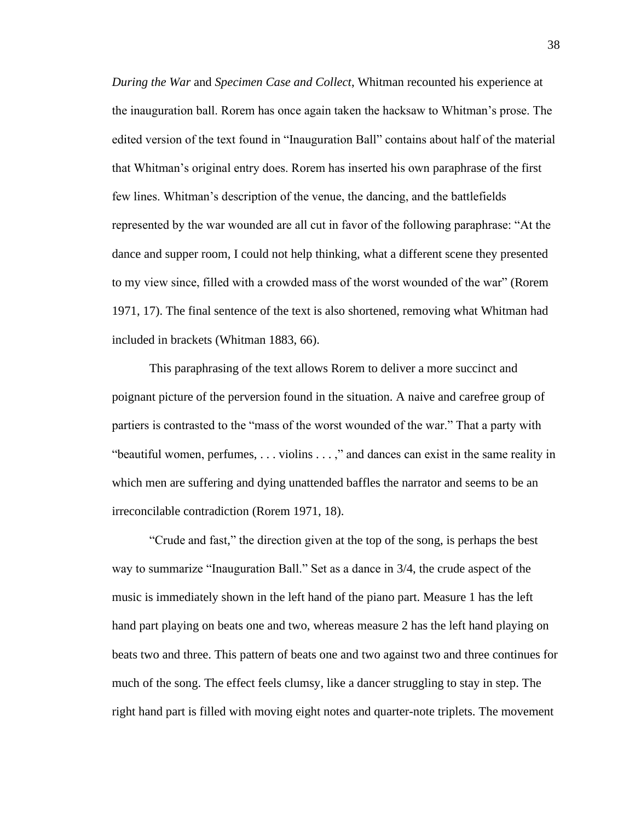*During the War* and *Specimen Case and Collect*, Whitman recounted his experience at the inauguration ball. Rorem has once again taken the hacksaw to Whitman's prose. The edited version of the text found in "Inauguration Ball" contains about half of the material that Whitman's original entry does. Rorem has inserted his own paraphrase of the first few lines. Whitman's description of the venue, the dancing, and the battlefields represented by the war wounded are all cut in favor of the following paraphrase: "At the dance and supper room, I could not help thinking, what a different scene they presented to my view since, filled with a crowded mass of the worst wounded of the war" (Rorem 1971, 17). The final sentence of the text is also shortened, removing what Whitman had included in brackets (Whitman 1883, 66).

This paraphrasing of the text allows Rorem to deliver a more succinct and poignant picture of the perversion found in the situation. A naive and carefree group of partiers is contrasted to the "mass of the worst wounded of the war." That a party with "beautiful women, perfumes, . . . violins . . . ," and dances can exist in the same reality in which men are suffering and dying unattended baffles the narrator and seems to be an irreconcilable contradiction (Rorem 1971, 18).

"Crude and fast," the direction given at the top of the song, is perhaps the best way to summarize "Inauguration Ball." Set as a dance in 3/4, the crude aspect of the music is immediately shown in the left hand of the piano part. Measure 1 has the left hand part playing on beats one and two, whereas measure 2 has the left hand playing on beats two and three. This pattern of beats one and two against two and three continues for much of the song. The effect feels clumsy, like a dancer struggling to stay in step. The right hand part is filled with moving eight notes and quarter-note triplets. The movement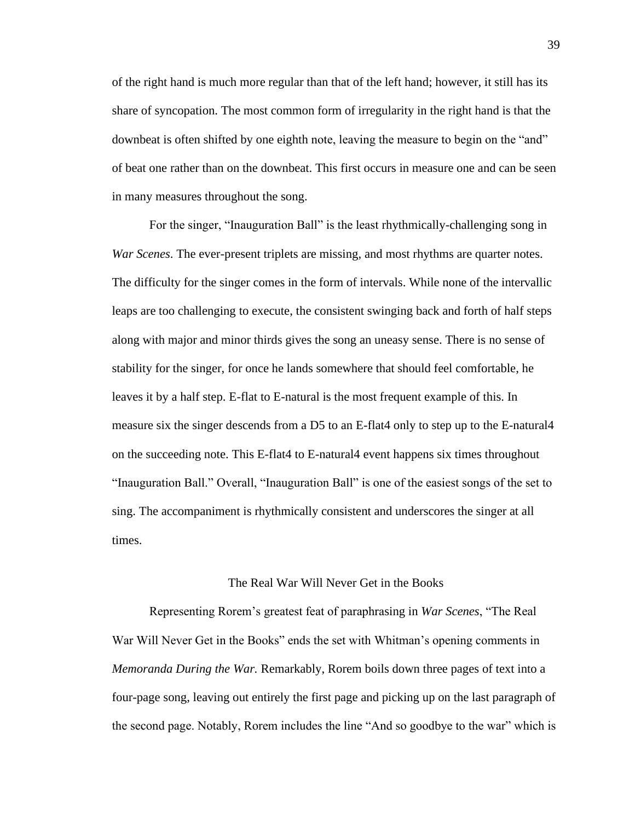of the right hand is much more regular than that of the left hand; however, it still has its share of syncopation. The most common form of irregularity in the right hand is that the downbeat is often shifted by one eighth note, leaving the measure to begin on the "and" of beat one rather than on the downbeat. This first occurs in measure one and can be seen in many measures throughout the song.

For the singer, "Inauguration Ball" is the least rhythmically-challenging song in *War Scenes*. The ever-present triplets are missing, and most rhythms are quarter notes. The difficulty for the singer comes in the form of intervals. While none of the intervallic leaps are too challenging to execute, the consistent swinging back and forth of half steps along with major and minor thirds gives the song an uneasy sense. There is no sense of stability for the singer, for once he lands somewhere that should feel comfortable, he leaves it by a half step. E-flat to E-natural is the most frequent example of this. In measure six the singer descends from a D5 to an E-flat4 only to step up to the E-natural4 on the succeeding note. This E-flat4 to E-natural4 event happens six times throughout "Inauguration Ball." Overall, "Inauguration Ball" is one of the easiest songs of the set to sing. The accompaniment is rhythmically consistent and underscores the singer at all times.

#### The Real War Will Never Get in the Books

Representing Rorem's greatest feat of paraphrasing in *War Scenes*, "The Real War Will Never Get in the Books" ends the set with Whitman's opening comments in *Memoranda During the War.* Remarkably, Rorem boils down three pages of text into a four-page song, leaving out entirely the first page and picking up on the last paragraph of the second page. Notably, Rorem includes the line "And so goodbye to the war" which is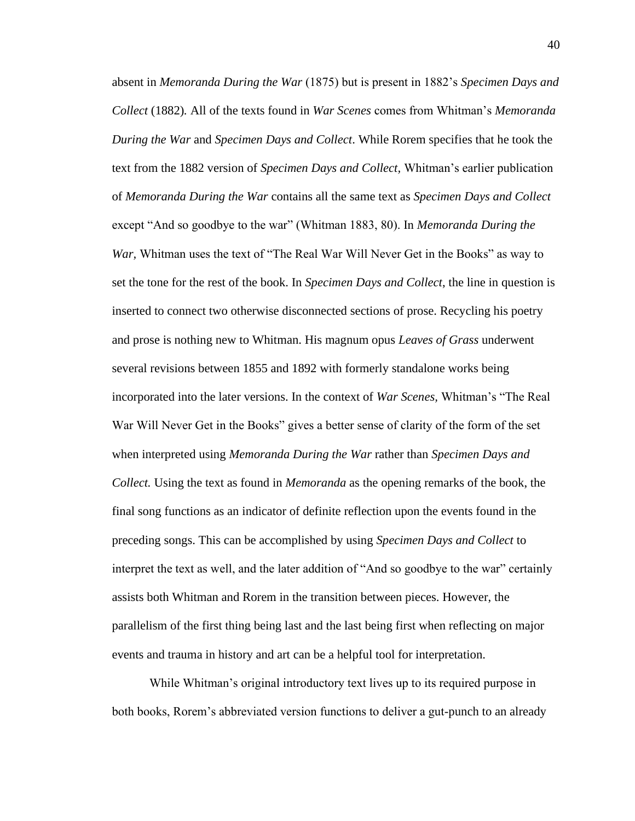absent in *Memoranda During the War* (1875) but is present in 1882's *Specimen Days and Collect* (1882)*.* All of the texts found in *War Scenes* comes from Whitman's *Memoranda During the War* and *Specimen Days and Collect*. While Rorem specifies that he took the text from the 1882 version of *Specimen Days and Collect,* Whitman's earlier publication of *Memoranda During the War* contains all the same text as *Specimen Days and Collect*  except "And so goodbye to the war" (Whitman 1883, 80). In *Memoranda During the War,* Whitman uses the text of "The Real War Will Never Get in the Books" as way to set the tone for the rest of the book. In *Specimen Days and Collect*, the line in question is inserted to connect two otherwise disconnected sections of prose. Recycling his poetry and prose is nothing new to Whitman. His magnum opus *Leaves of Grass* underwent several revisions between 1855 and 1892 with formerly standalone works being incorporated into the later versions. In the context of *War Scenes,* Whitman's "The Real War Will Never Get in the Books" gives a better sense of clarity of the form of the set when interpreted using *Memoranda During the War* rather than *Specimen Days and Collect.* Using the text as found in *Memoranda* as the opening remarks of the book, the final song functions as an indicator of definite reflection upon the events found in the preceding songs. This can be accomplished by using *Specimen Days and Collect* to interpret the text as well, and the later addition of "And so goodbye to the war" certainly assists both Whitman and Rorem in the transition between pieces. However, the parallelism of the first thing being last and the last being first when reflecting on major events and trauma in history and art can be a helpful tool for interpretation.

While Whitman's original introductory text lives up to its required purpose in both books, Rorem's abbreviated version functions to deliver a gut-punch to an already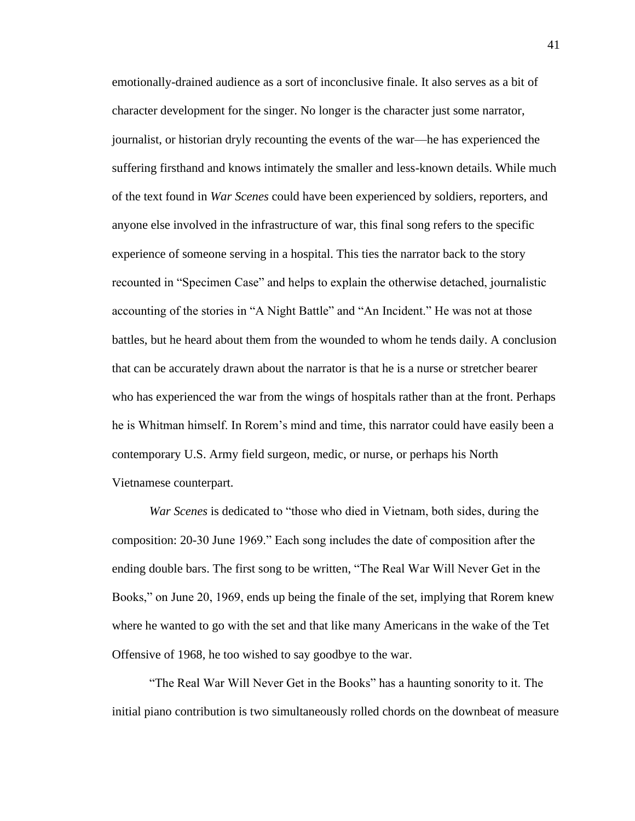emotionally-drained audience as a sort of inconclusive finale. It also serves as a bit of character development for the singer. No longer is the character just some narrator, journalist, or historian dryly recounting the events of the war—he has experienced the suffering firsthand and knows intimately the smaller and less-known details. While much of the text found in *War Scenes* could have been experienced by soldiers, reporters, and anyone else involved in the infrastructure of war, this final song refers to the specific experience of someone serving in a hospital. This ties the narrator back to the story recounted in "Specimen Case" and helps to explain the otherwise detached, journalistic accounting of the stories in "A Night Battle" and "An Incident." He was not at those battles, but he heard about them from the wounded to whom he tends daily. A conclusion that can be accurately drawn about the narrator is that he is a nurse or stretcher bearer who has experienced the war from the wings of hospitals rather than at the front. Perhaps he is Whitman himself. In Rorem's mind and time, this narrator could have easily been a contemporary U.S. Army field surgeon, medic, or nurse, or perhaps his North Vietnamese counterpart.

*War Scenes* is dedicated to "those who died in Vietnam, both sides, during the composition: 20-30 June 1969." Each song includes the date of composition after the ending double bars. The first song to be written, "The Real War Will Never Get in the Books," on June 20, 1969, ends up being the finale of the set, implying that Rorem knew where he wanted to go with the set and that like many Americans in the wake of the Tet Offensive of 1968, he too wished to say goodbye to the war.

"The Real War Will Never Get in the Books" has a haunting sonority to it. The initial piano contribution is two simultaneously rolled chords on the downbeat of measure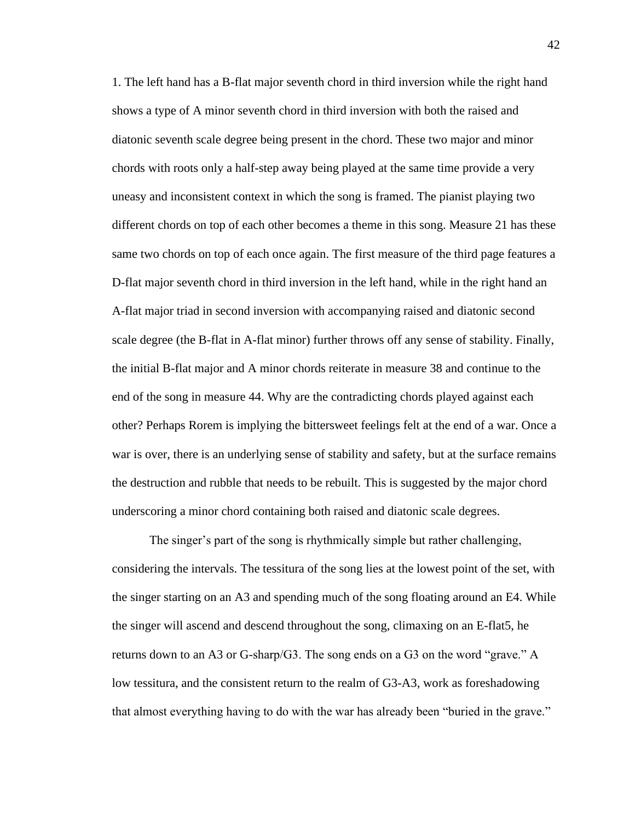1. The left hand has a B-flat major seventh chord in third inversion while the right hand shows a type of A minor seventh chord in third inversion with both the raised and diatonic seventh scale degree being present in the chord. These two major and minor chords with roots only a half-step away being played at the same time provide a very uneasy and inconsistent context in which the song is framed. The pianist playing two different chords on top of each other becomes a theme in this song. Measure 21 has these same two chords on top of each once again. The first measure of the third page features a D-flat major seventh chord in third inversion in the left hand, while in the right hand an A-flat major triad in second inversion with accompanying raised and diatonic second scale degree (the B-flat in A-flat minor) further throws off any sense of stability. Finally, the initial B-flat major and A minor chords reiterate in measure 38 and continue to the end of the song in measure 44. Why are the contradicting chords played against each other? Perhaps Rorem is implying the bittersweet feelings felt at the end of a war. Once a war is over, there is an underlying sense of stability and safety, but at the surface remains the destruction and rubble that needs to be rebuilt. This is suggested by the major chord underscoring a minor chord containing both raised and diatonic scale degrees.

The singer's part of the song is rhythmically simple but rather challenging, considering the intervals. The tessitura of the song lies at the lowest point of the set, with the singer starting on an A3 and spending much of the song floating around an E4. While the singer will ascend and descend throughout the song, climaxing on an E-flat5, he returns down to an A3 or G-sharp/G3. The song ends on a G3 on the word "grave." A low tessitura, and the consistent return to the realm of G3-A3, work as foreshadowing that almost everything having to do with the war has already been "buried in the grave."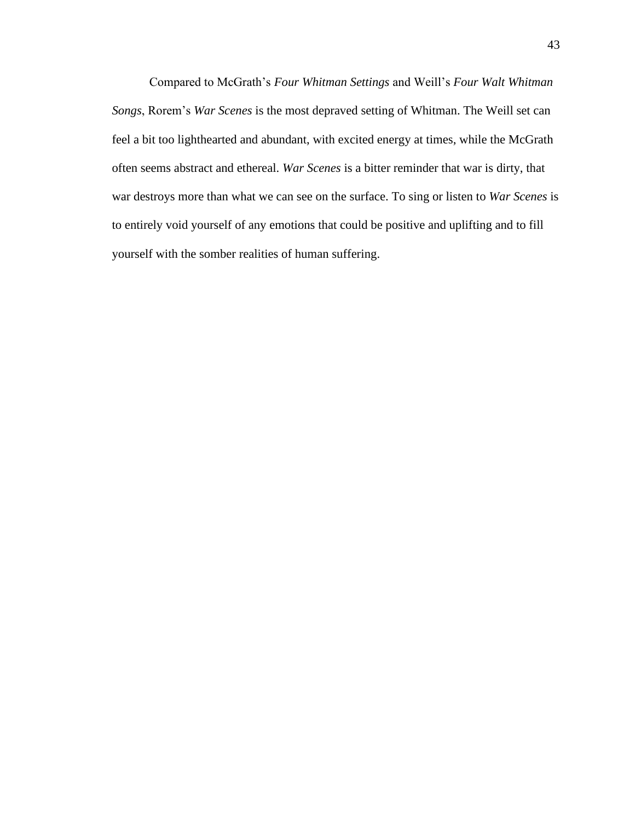Compared to McGrath's *Four Whitman Settings* and Weill's *Four Walt Whitman Songs*, Rorem's *War Scenes* is the most depraved setting of Whitman. The Weill set can feel a bit too lighthearted and abundant, with excited energy at times, while the McGrath often seems abstract and ethereal. *War Scenes* is a bitter reminder that war is dirty, that war destroys more than what we can see on the surface. To sing or listen to *War Scenes* is to entirely void yourself of any emotions that could be positive and uplifting and to fill yourself with the somber realities of human suffering.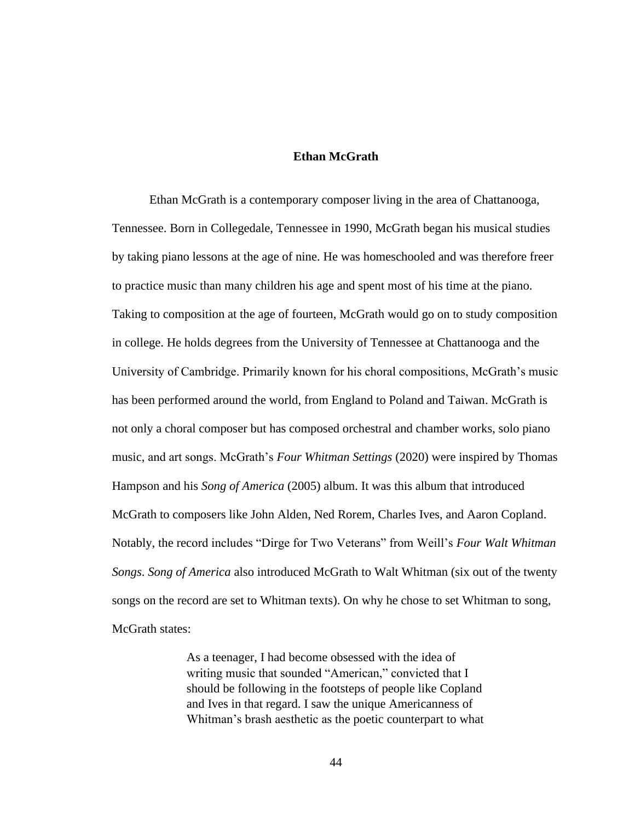#### **Ethan McGrath**

Ethan McGrath is a contemporary composer living in the area of Chattanooga, Tennessee. Born in Collegedale, Tennessee in 1990, McGrath began his musical studies by taking piano lessons at the age of nine. He was homeschooled and was therefore freer to practice music than many children his age and spent most of his time at the piano. Taking to composition at the age of fourteen, McGrath would go on to study composition in college. He holds degrees from the University of Tennessee at Chattanooga and the University of Cambridge. Primarily known for his choral compositions, McGrath's music has been performed around the world, from England to Poland and Taiwan. McGrath is not only a choral composer but has composed orchestral and chamber works, solo piano music, and art songs. McGrath's *Four Whitman Settings* (2020) were inspired by Thomas Hampson and his *Song of America* (2005) album. It was this album that introduced McGrath to composers like John Alden, Ned Rorem, Charles Ives, and Aaron Copland. Notably, the record includes "Dirge for Two Veterans" from Weill's *Four Walt Whitman Songs*. *Song of America* also introduced McGrath to Walt Whitman (six out of the twenty songs on the record are set to Whitman texts). On why he chose to set Whitman to song, McGrath states:

> As a teenager, I had become obsessed with the idea of writing music that sounded "American," convicted that I should be following in the footsteps of people like Copland and Ives in that regard. I saw the unique Americanness of Whitman's brash aesthetic as the poetic counterpart to what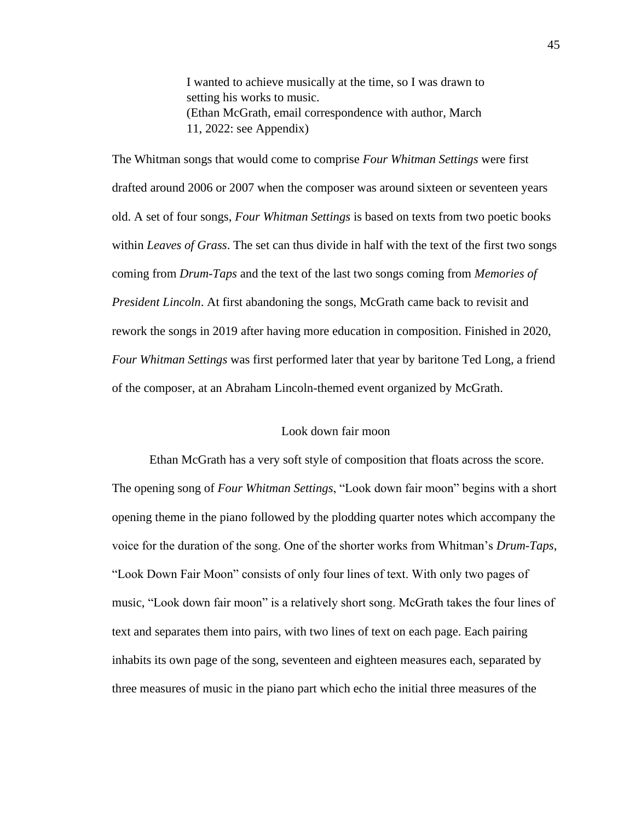I wanted to achieve musically at the time, so I was drawn to setting his works to music. (Ethan McGrath, email correspondence with author, March 11, 2022: see Appendix)

The Whitman songs that would come to comprise *Four Whitman Settings* were first drafted around 2006 or 2007 when the composer was around sixteen or seventeen years old. A set of four songs, *Four Whitman Settings* is based on texts from two poetic books within *Leaves of Grass*. The set can thus divide in half with the text of the first two songs coming from *Drum-Taps* and the text of the last two songs coming from *Memories of President Lincoln*. At first abandoning the songs, McGrath came back to revisit and rework the songs in 2019 after having more education in composition. Finished in 2020, *Four Whitman Settings* was first performed later that year by baritone Ted Long, a friend of the composer, at an Abraham Lincoln-themed event organized by McGrath.

#### Look down fair moon

Ethan McGrath has a very soft style of composition that floats across the score. The opening song of *Four Whitman Settings*, "Look down fair moon" begins with a short opening theme in the piano followed by the plodding quarter notes which accompany the voice for the duration of the song. One of the shorter works from Whitman's *Drum-Taps*, "Look Down Fair Moon" consists of only four lines of text. With only two pages of music, "Look down fair moon" is a relatively short song. McGrath takes the four lines of text and separates them into pairs, with two lines of text on each page. Each pairing inhabits its own page of the song, seventeen and eighteen measures each, separated by three measures of music in the piano part which echo the initial three measures of the

45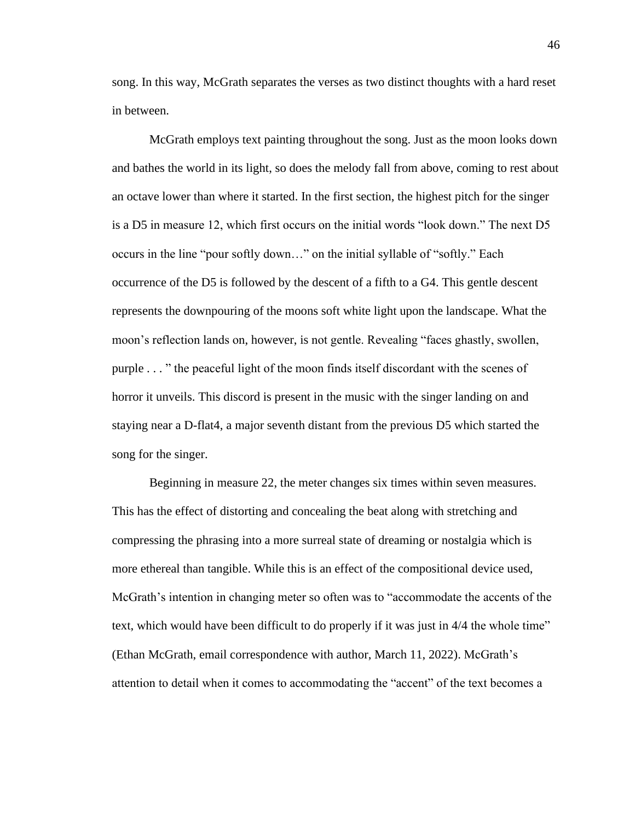song. In this way, McGrath separates the verses as two distinct thoughts with a hard reset in between.

McGrath employs text painting throughout the song. Just as the moon looks down and bathes the world in its light, so does the melody fall from above, coming to rest about an octave lower than where it started. In the first section, the highest pitch for the singer is a D5 in measure 12, which first occurs on the initial words "look down." The next D5 occurs in the line "pour softly down…" on the initial syllable of "softly." Each occurrence of the D5 is followed by the descent of a fifth to a G4. This gentle descent represents the downpouring of the moons soft white light upon the landscape. What the moon's reflection lands on, however, is not gentle. Revealing "faces ghastly, swollen, purple . . . " the peaceful light of the moon finds itself discordant with the scenes of horror it unveils. This discord is present in the music with the singer landing on and staying near a D-flat4, a major seventh distant from the previous D5 which started the song for the singer.

Beginning in measure 22, the meter changes six times within seven measures. This has the effect of distorting and concealing the beat along with stretching and compressing the phrasing into a more surreal state of dreaming or nostalgia which is more ethereal than tangible. While this is an effect of the compositional device used, McGrath's intention in changing meter so often was to "accommodate the accents of the text, which would have been difficult to do properly if it was just in 4/4 the whole time" (Ethan McGrath, email correspondence with author, March 11, 2022). McGrath's attention to detail when it comes to accommodating the "accent" of the text becomes a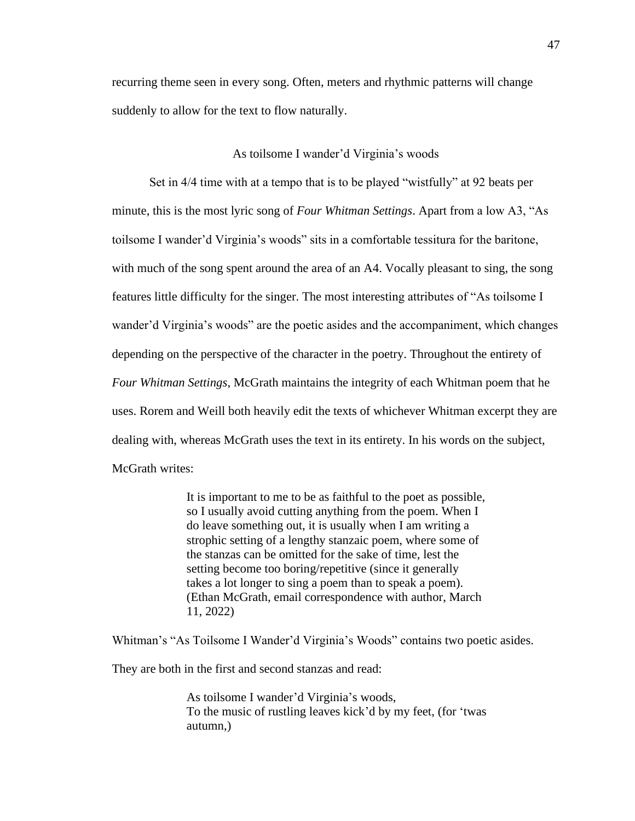recurring theme seen in every song. Often, meters and rhythmic patterns will change suddenly to allow for the text to flow naturally.

#### As toilsome I wander'd Virginia's woods

Set in 4/4 time with at a tempo that is to be played "wistfully" at 92 beats per minute, this is the most lyric song of *Four Whitman Settings*. Apart from a low A3, "As toilsome I wander'd Virginia's woods" sits in a comfortable tessitura for the baritone, with much of the song spent around the area of an A4. Vocally pleasant to sing, the song features little difficulty for the singer. The most interesting attributes of "As toilsome I wander'd Virginia's woods" are the poetic asides and the accompaniment, which changes depending on the perspective of the character in the poetry. Throughout the entirety of *Four Whitman Settings*, McGrath maintains the integrity of each Whitman poem that he uses. Rorem and Weill both heavily edit the texts of whichever Whitman excerpt they are dealing with, whereas McGrath uses the text in its entirety. In his words on the subject, McGrath writes:

> It is important to me to be as faithful to the poet as possible, so I usually avoid cutting anything from the poem. When I do leave something out, it is usually when I am writing a strophic setting of a lengthy stanzaic poem, where some of the stanzas can be omitted for the sake of time, lest the setting become too boring/repetitive (since it generally takes a lot longer to sing a poem than to speak a poem). (Ethan McGrath, email correspondence with author, March 11, 2022)

Whitman's "As Toilsome I Wander'd Virginia's Woods" contains two poetic asides.

They are both in the first and second stanzas and read:

As toilsome I wander'd Virginia's woods, To the music of rustling leaves kick'd by my feet, (for 'twas autumn,)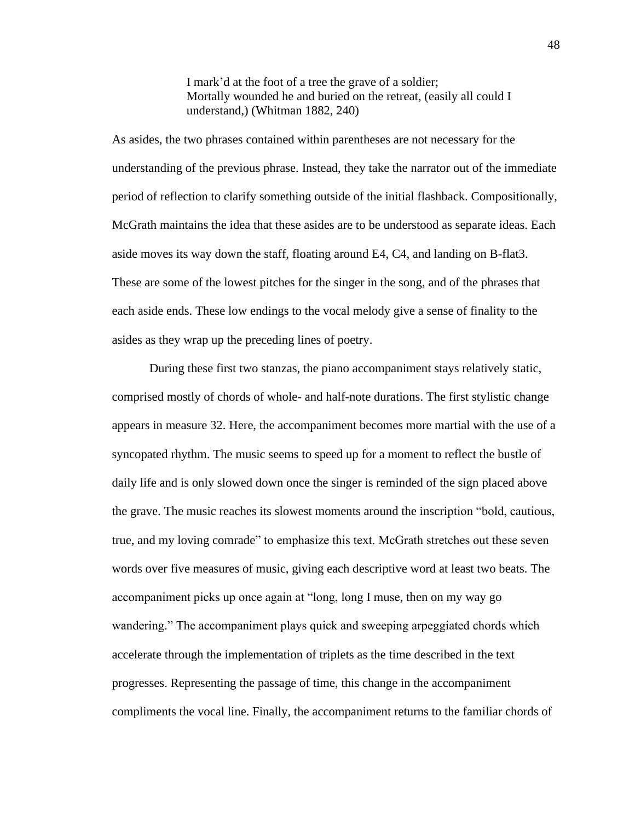I mark'd at the foot of a tree the grave of a soldier; Mortally wounded he and buried on the retreat, (easily all could I understand,) (Whitman 1882, 240)

As asides, the two phrases contained within parentheses are not necessary for the understanding of the previous phrase. Instead, they take the narrator out of the immediate period of reflection to clarify something outside of the initial flashback. Compositionally, McGrath maintains the idea that these asides are to be understood as separate ideas. Each aside moves its way down the staff, floating around E4, C4, and landing on B-flat3. These are some of the lowest pitches for the singer in the song, and of the phrases that each aside ends. These low endings to the vocal melody give a sense of finality to the asides as they wrap up the preceding lines of poetry.

During these first two stanzas, the piano accompaniment stays relatively static, comprised mostly of chords of whole- and half-note durations. The first stylistic change appears in measure 32. Here, the accompaniment becomes more martial with the use of a syncopated rhythm. The music seems to speed up for a moment to reflect the bustle of daily life and is only slowed down once the singer is reminded of the sign placed above the grave. The music reaches its slowest moments around the inscription "bold, cautious, true, and my loving comrade" to emphasize this text. McGrath stretches out these seven words over five measures of music, giving each descriptive word at least two beats. The accompaniment picks up once again at "long, long I muse, then on my way go wandering." The accompaniment plays quick and sweeping arpeggiated chords which accelerate through the implementation of triplets as the time described in the text progresses. Representing the passage of time, this change in the accompaniment compliments the vocal line. Finally, the accompaniment returns to the familiar chords of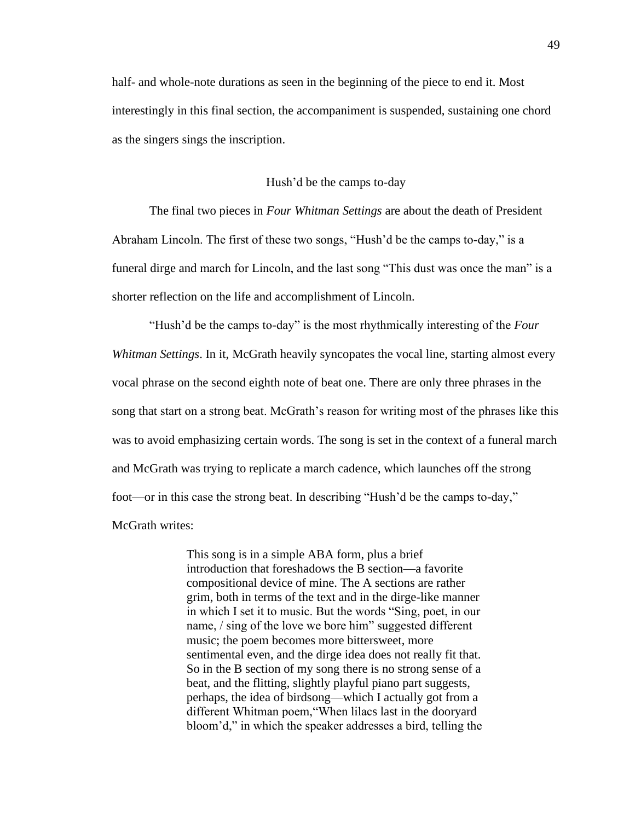half- and whole-note durations as seen in the beginning of the piece to end it. Most interestingly in this final section, the accompaniment is suspended, sustaining one chord as the singers sings the inscription.

#### Hush'd be the camps to-day

The final two pieces in *Four Whitman Settings* are about the death of President Abraham Lincoln. The first of these two songs, "Hush'd be the camps to-day," is a funeral dirge and march for Lincoln, and the last song "This dust was once the man" is a shorter reflection on the life and accomplishment of Lincoln.

"Hush'd be the camps to-day" is the most rhythmically interesting of the *Four Whitman Settings*. In it, McGrath heavily syncopates the vocal line, starting almost every vocal phrase on the second eighth note of beat one. There are only three phrases in the song that start on a strong beat. McGrath's reason for writing most of the phrases like this was to avoid emphasizing certain words. The song is set in the context of a funeral march and McGrath was trying to replicate a march cadence, which launches off the strong foot—or in this case the strong beat. In describing "Hush'd be the camps to-day," McGrath writes:

> This song is in a simple ABA form, plus a brief introduction that foreshadows the B section—a favorite compositional device of mine. The A sections are rather grim, both in terms of the text and in the dirge-like manner in which I set it to music. But the words "Sing, poet, in our name, / sing of the love we bore him" suggested different music; the poem becomes more bittersweet, more sentimental even, and the dirge idea does not really fit that. So in the B section of my song there is no strong sense of a beat, and the flitting, slightly playful piano part suggests, perhaps, the idea of birdsong—which I actually got from a different Whitman poem,"When lilacs last in the dooryard bloom'd," in which the speaker addresses a bird, telling the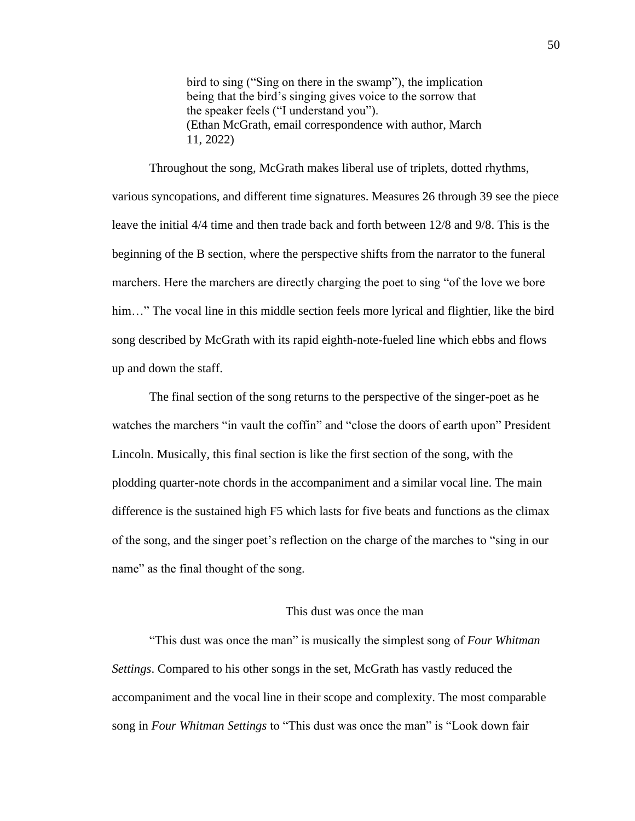bird to sing ("Sing on there in the swamp"), the implication being that the bird's singing gives voice to the sorrow that the speaker feels ("I understand you"). (Ethan McGrath, email correspondence with author, March 11, 2022)

Throughout the song, McGrath makes liberal use of triplets, dotted rhythms, various syncopations, and different time signatures. Measures 26 through 39 see the piece leave the initial 4/4 time and then trade back and forth between 12/8 and 9/8. This is the beginning of the B section, where the perspective shifts from the narrator to the funeral marchers. Here the marchers are directly charging the poet to sing "of the love we bore him..." The vocal line in this middle section feels more lyrical and flightier, like the bird song described by McGrath with its rapid eighth-note-fueled line which ebbs and flows up and down the staff.

The final section of the song returns to the perspective of the singer-poet as he watches the marchers "in vault the coffin" and "close the doors of earth upon" President Lincoln. Musically, this final section is like the first section of the song, with the plodding quarter-note chords in the accompaniment and a similar vocal line. The main difference is the sustained high F5 which lasts for five beats and functions as the climax of the song, and the singer poet's reflection on the charge of the marches to "sing in our name" as the final thought of the song.

#### This dust was once the man

"This dust was once the man" is musically the simplest song of *Four Whitman Settings*. Compared to his other songs in the set, McGrath has vastly reduced the accompaniment and the vocal line in their scope and complexity. The most comparable song in *Four Whitman Settings* to "This dust was once the man" is "Look down fair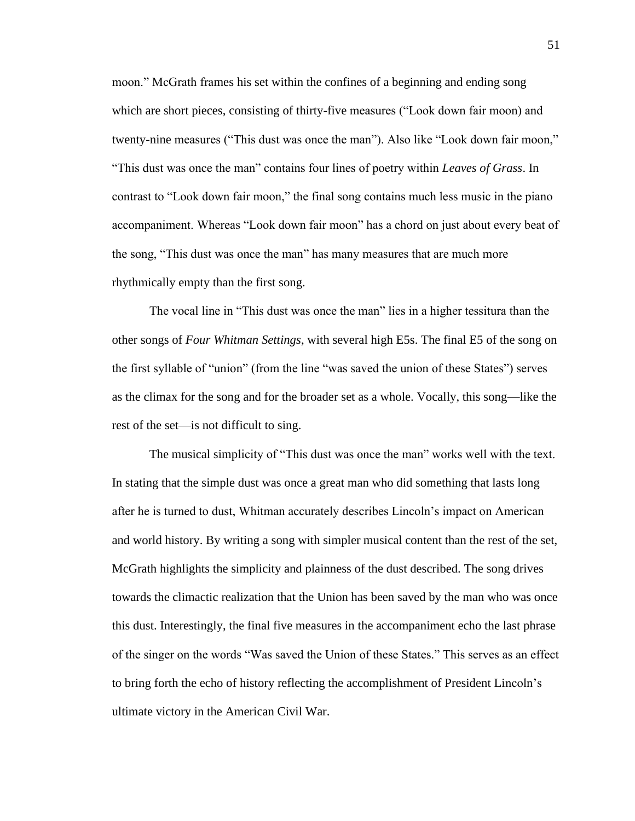moon." McGrath frames his set within the confines of a beginning and ending song which are short pieces, consisting of thirty-five measures ("Look down fair moon) and twenty-nine measures ("This dust was once the man"). Also like "Look down fair moon," "This dust was once the man" contains four lines of poetry within *Leaves of Grass*. In contrast to "Look down fair moon," the final song contains much less music in the piano accompaniment. Whereas "Look down fair moon" has a chord on just about every beat of the song, "This dust was once the man" has many measures that are much more rhythmically empty than the first song.

The vocal line in "This dust was once the man" lies in a higher tessitura than the other songs of *Four Whitman Settings*, with several high E5s. The final E5 of the song on the first syllable of "union" (from the line "was saved the union of these States") serves as the climax for the song and for the broader set as a whole. Vocally, this song—like the rest of the set—is not difficult to sing.

The musical simplicity of "This dust was once the man" works well with the text. In stating that the simple dust was once a great man who did something that lasts long after he is turned to dust, Whitman accurately describes Lincoln's impact on American and world history. By writing a song with simpler musical content than the rest of the set, McGrath highlights the simplicity and plainness of the dust described. The song drives towards the climactic realization that the Union has been saved by the man who was once this dust. Interestingly, the final five measures in the accompaniment echo the last phrase of the singer on the words "Was saved the Union of these States." This serves as an effect to bring forth the echo of history reflecting the accomplishment of President Lincoln's ultimate victory in the American Civil War.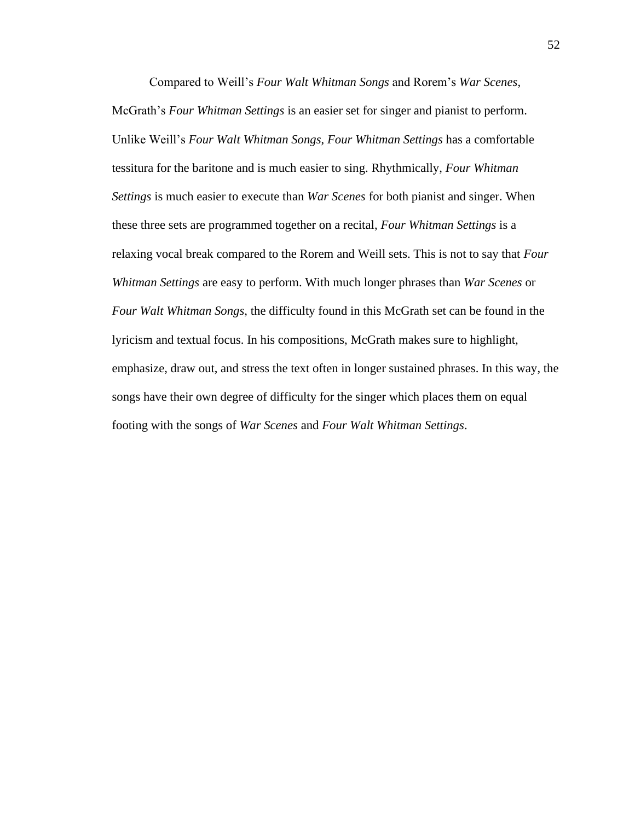Compared to Weill's *Four Walt Whitman Songs* and Rorem's *War Scenes*, McGrath's *Four Whitman Settings* is an easier set for singer and pianist to perform. Unlike Weill's *Four Walt Whitman Songs*, *Four Whitman Settings* has a comfortable tessitura for the baritone and is much easier to sing. Rhythmically, *Four Whitman Settings* is much easier to execute than *War Scenes* for both pianist and singer. When these three sets are programmed together on a recital, *Four Whitman Settings* is a relaxing vocal break compared to the Rorem and Weill sets. This is not to say that *Four Whitman Settings* are easy to perform. With much longer phrases than *War Scenes* or *Four Walt Whitman Songs*, the difficulty found in this McGrath set can be found in the lyricism and textual focus. In his compositions, McGrath makes sure to highlight, emphasize, draw out, and stress the text often in longer sustained phrases. In this way, the songs have their own degree of difficulty for the singer which places them on equal footing with the songs of *War Scenes* and *Four Walt Whitman Settings*.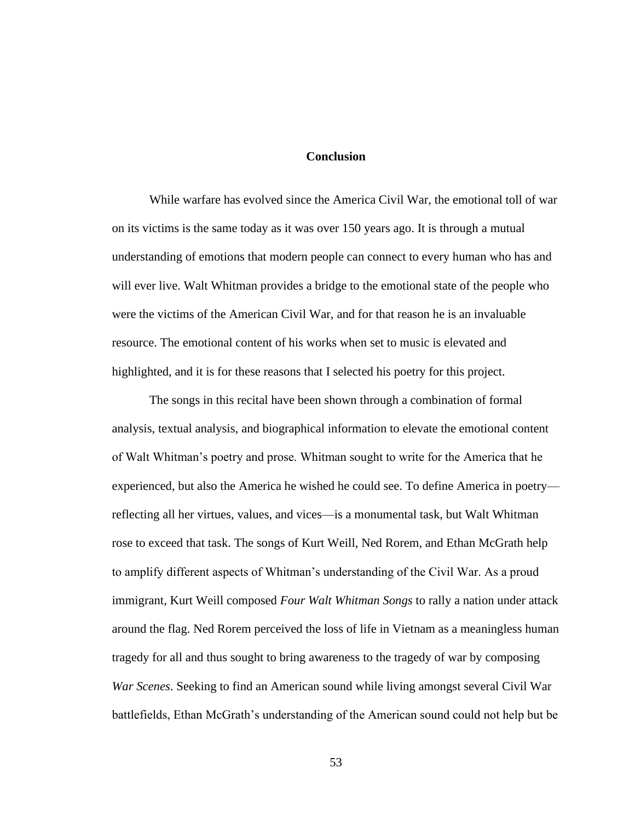#### **Conclusion**

While warfare has evolved since the America Civil War, the emotional toll of war on its victims is the same today as it was over 150 years ago. It is through a mutual understanding of emotions that modern people can connect to every human who has and will ever live. Walt Whitman provides a bridge to the emotional state of the people who were the victims of the American Civil War, and for that reason he is an invaluable resource. The emotional content of his works when set to music is elevated and highlighted, and it is for these reasons that I selected his poetry for this project.

The songs in this recital have been shown through a combination of formal analysis, textual analysis, and biographical information to elevate the emotional content of Walt Whitman's poetry and prose. Whitman sought to write for the America that he experienced, but also the America he wished he could see. To define America in poetry reflecting all her virtues, values, and vices—is a monumental task, but Walt Whitman rose to exceed that task. The songs of Kurt Weill, Ned Rorem, and Ethan McGrath help to amplify different aspects of Whitman's understanding of the Civil War. As a proud immigrant, Kurt Weill composed *Four Walt Whitman Songs* to rally a nation under attack around the flag. Ned Rorem perceived the loss of life in Vietnam as a meaningless human tragedy for all and thus sought to bring awareness to the tragedy of war by composing *War Scenes*. Seeking to find an American sound while living amongst several Civil War battlefields, Ethan McGrath's understanding of the American sound could not help but be

53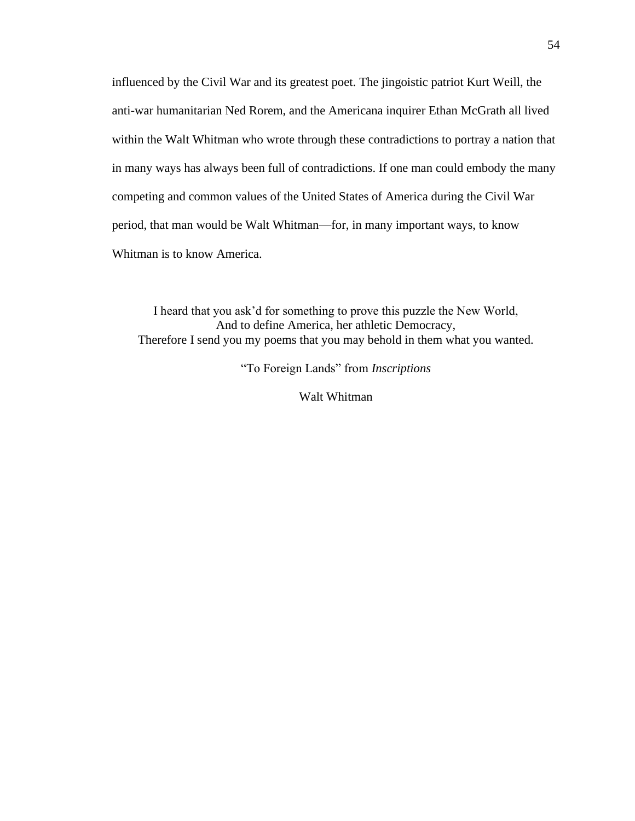influenced by the Civil War and its greatest poet. The jingoistic patriot Kurt Weill, the anti-war humanitarian Ned Rorem, and the Americana inquirer Ethan McGrath all lived within the Walt Whitman who wrote through these contradictions to portray a nation that in many ways has always been full of contradictions. If one man could embody the many competing and common values of the United States of America during the Civil War period, that man would be Walt Whitman—for, in many important ways, to know Whitman is to know America.

I heard that you ask'd for something to prove this puzzle the New World, And to define America, her athletic Democracy, Therefore I send you my poems that you may behold in them what you wanted.

"To Foreign Lands" from *Inscriptions*

Walt Whitman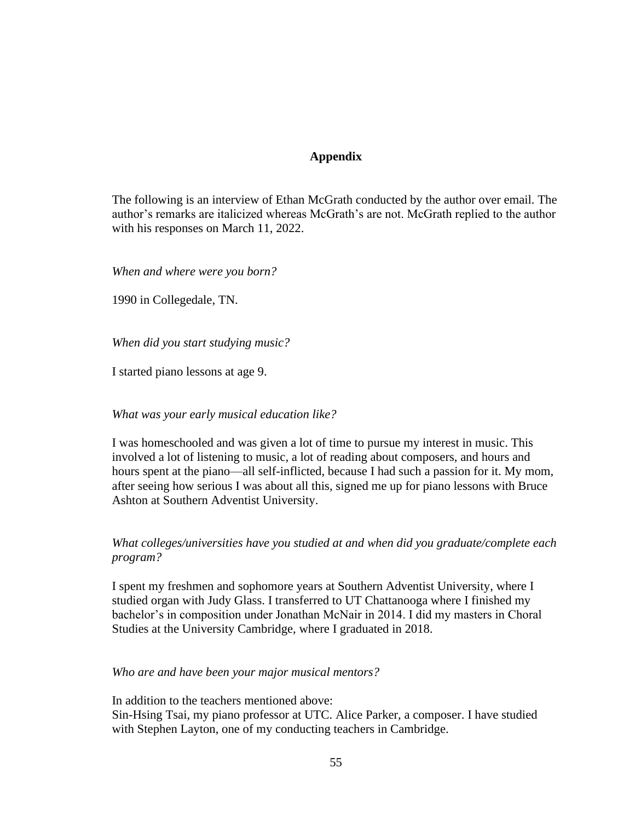# **Appendix**

The following is an interview of Ethan McGrath conducted by the author over email. The author's remarks are italicized whereas McGrath's are not. McGrath replied to the author with his responses on March 11, 2022.

*When and where were you born?*

1990 in Collegedale, TN.

*When did you start studying music?*

I started piano lessons at age 9.

#### *What was your early musical education like?*

I was homeschooled and was given a lot of time to pursue my interest in music. This involved a lot of listening to music, a lot of reading about composers, and hours and hours spent at the piano—all self-inflicted, because I had such a passion for it. My mom, after seeing how serious I was about all this, signed me up for piano lessons with Bruce Ashton at Southern Adventist University.

# *What colleges/universities have you studied at and when did you graduate/complete each program?*

I spent my freshmen and sophomore years at Southern Adventist University, where I studied organ with Judy Glass. I transferred to UT Chattanooga where I finished my bachelor's in composition under Jonathan McNair in 2014. I did my masters in Choral Studies at the University Cambridge, where I graduated in 2018.

#### *Who are and have been your major musical mentors?*

In addition to the teachers mentioned above:

Sin-Hsing Tsai, my piano professor at UTC. Alice Parker, a composer. I have studied with Stephen Layton, one of my conducting teachers in Cambridge.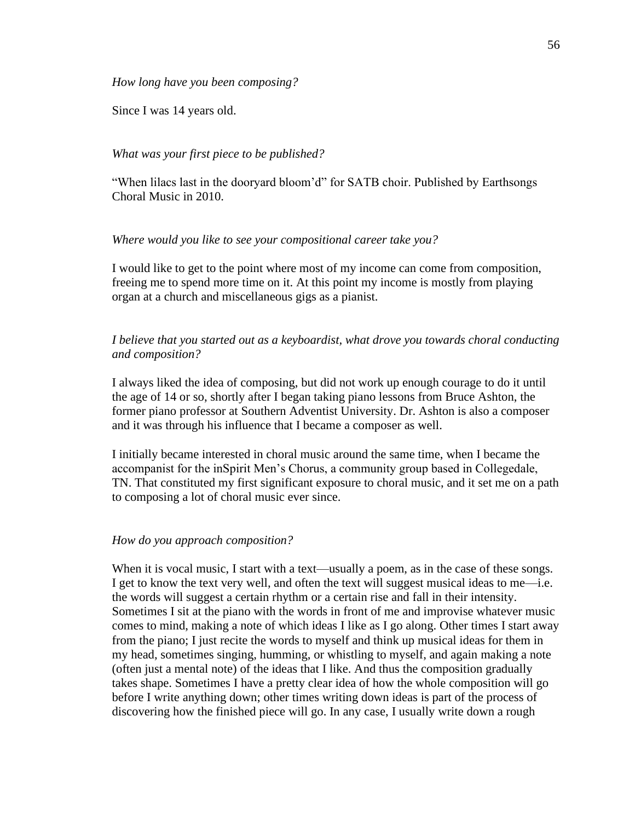*How long have you been composing?*

Since I was 14 years old.

## *What was your first piece to be published?*

"When lilacs last in the dooryard bloom'd" for SATB choir. Published by Earthsongs Choral Music in 2010.

#### *Where would you like to see your compositional career take you?*

I would like to get to the point where most of my income can come from composition, freeing me to spend more time on it. At this point my income is mostly from playing organ at a church and miscellaneous gigs as a pianist.

## *I believe that you started out as a keyboardist, what drove you towards choral conducting and composition?*

I always liked the idea of composing, but did not work up enough courage to do it until the age of 14 or so, shortly after I began taking piano lessons from Bruce Ashton, the former piano professor at Southern Adventist University. Dr. Ashton is also a composer and it was through his influence that I became a composer as well.

I initially became interested in choral music around the same time, when I became the accompanist for the inSpirit Men's Chorus, a community group based in Collegedale, TN. That constituted my first significant exposure to choral music, and it set me on a path to composing a lot of choral music ever since.

#### *How do you approach composition?*

When it is vocal music, I start with a text—usually a poem, as in the case of these songs. I get to know the text very well, and often the text will suggest musical ideas to me—i.e. the words will suggest a certain rhythm or a certain rise and fall in their intensity. Sometimes I sit at the piano with the words in front of me and improvise whatever music comes to mind, making a note of which ideas I like as I go along. Other times I start away from the piano; I just recite the words to myself and think up musical ideas for them in my head, sometimes singing, humming, or whistling to myself, and again making a note (often just a mental note) of the ideas that I like. And thus the composition gradually takes shape. Sometimes I have a pretty clear idea of how the whole composition will go before I write anything down; other times writing down ideas is part of the process of discovering how the finished piece will go. In any case, I usually write down a rough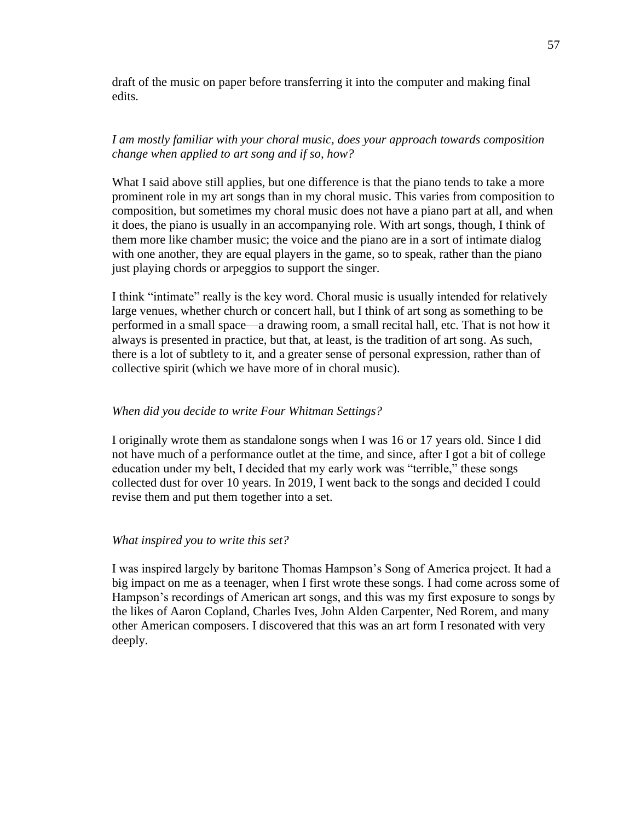draft of the music on paper before transferring it into the computer and making final edits.

# *I am mostly familiar with your choral music, does your approach towards composition change when applied to art song and if so, how?*

What I said above still applies, but one difference is that the piano tends to take a more prominent role in my art songs than in my choral music. This varies from composition to composition, but sometimes my choral music does not have a piano part at all, and when it does, the piano is usually in an accompanying role. With art songs, though, I think of them more like chamber music; the voice and the piano are in a sort of intimate dialog with one another, they are equal players in the game, so to speak, rather than the piano just playing chords or arpeggios to support the singer.

I think "intimate" really is the key word. Choral music is usually intended for relatively large venues, whether church or concert hall, but I think of art song as something to be performed in a small space—a drawing room, a small recital hall, etc. That is not how it always is presented in practice, but that, at least, is the tradition of art song. As such, there is a lot of subtlety to it, and a greater sense of personal expression, rather than of collective spirit (which we have more of in choral music).

#### *When did you decide to write Four Whitman Settings?*

I originally wrote them as standalone songs when I was 16 or 17 years old. Since I did not have much of a performance outlet at the time, and since, after I got a bit of college education under my belt, I decided that my early work was "terrible," these songs collected dust for over 10 years. In 2019, I went back to the songs and decided I could revise them and put them together into a set.

#### *What inspired you to write this set?*

I was inspired largely by baritone Thomas Hampson's Song of America project. It had a big impact on me as a teenager, when I first wrote these songs. I had come across some of Hampson's recordings of American art songs, and this was my first exposure to songs by the likes of Aaron Copland, Charles Ives, John Alden Carpenter, Ned Rorem, and many other American composers. I discovered that this was an art form I resonated with very deeply.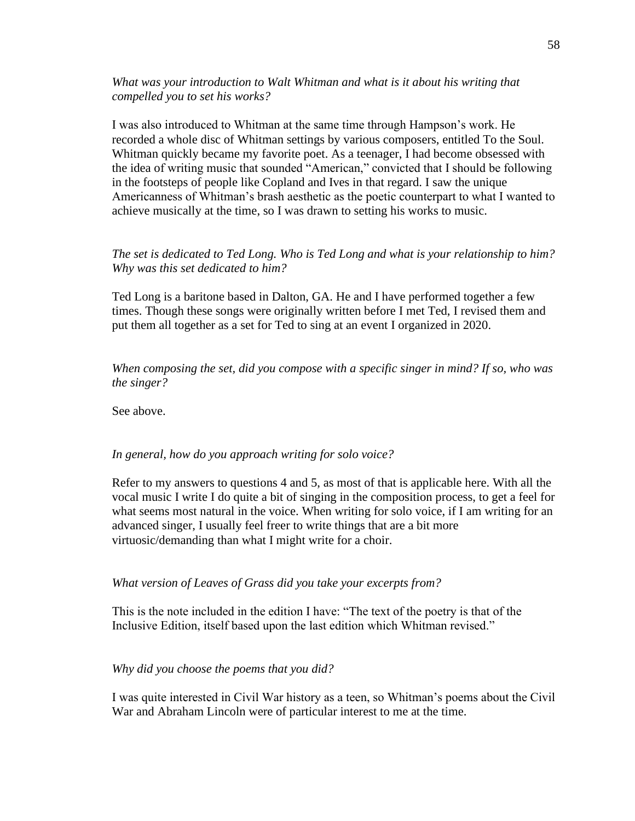*What was your introduction to Walt Whitman and what is it about his writing that compelled you to set his works?*

I was also introduced to Whitman at the same time through Hampson's work. He recorded a whole disc of Whitman settings by various composers, entitled To the Soul. Whitman quickly became my favorite poet. As a teenager, I had become obsessed with the idea of writing music that sounded "American," convicted that I should be following in the footsteps of people like Copland and Ives in that regard. I saw the unique Americanness of Whitman's brash aesthetic as the poetic counterpart to what I wanted to achieve musically at the time, so I was drawn to setting his works to music.

#### *The set is dedicated to Ted Long. Who is Ted Long and what is your relationship to him? Why was this set dedicated to him?*

Ted Long is a baritone based in Dalton, GA. He and I have performed together a few times. Though these songs were originally written before I met Ted, I revised them and put them all together as a set for Ted to sing at an event I organized in 2020.

*When composing the set, did you compose with a specific singer in mind? If so, who was the singer?*

See above.

#### *In general, how do you approach writing for solo voice?*

Refer to my answers to questions 4 and 5, as most of that is applicable here. With all the vocal music I write I do quite a bit of singing in the composition process, to get a feel for what seems most natural in the voice. When writing for solo voice, if I am writing for an advanced singer, I usually feel freer to write things that are a bit more virtuosic/demanding than what I might write for a choir.

#### *What version of Leaves of Grass did you take your excerpts from?*

This is the note included in the edition I have: "The text of the poetry is that of the Inclusive Edition, itself based upon the last edition which Whitman revised."

#### *Why did you choose the poems that you did?*

I was quite interested in Civil War history as a teen, so Whitman's poems about the Civil War and Abraham Lincoln were of particular interest to me at the time.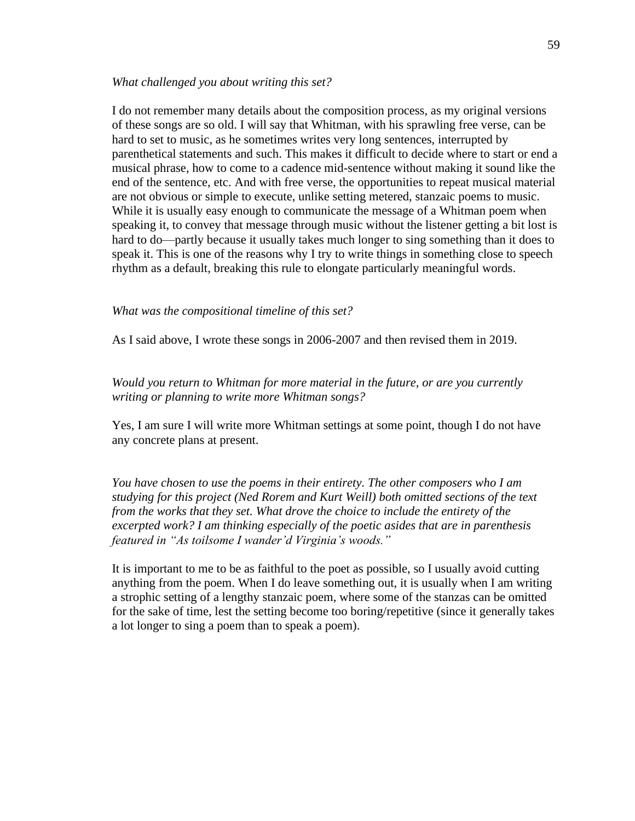#### *What challenged you about writing this set?*

I do not remember many details about the composition process, as my original versions of these songs are so old. I will say that Whitman, with his sprawling free verse, can be hard to set to music, as he sometimes writes very long sentences, interrupted by parenthetical statements and such. This makes it difficult to decide where to start or end a musical phrase, how to come to a cadence mid-sentence without making it sound like the end of the sentence, etc. And with free verse, the opportunities to repeat musical material are not obvious or simple to execute, unlike setting metered, stanzaic poems to music. While it is usually easy enough to communicate the message of a Whitman poem when speaking it, to convey that message through music without the listener getting a bit lost is hard to do—partly because it usually takes much longer to sing something than it does to speak it. This is one of the reasons why I try to write things in something close to speech rhythm as a default, breaking this rule to elongate particularly meaningful words.

#### *What was the compositional timeline of this set?*

As I said above, I wrote these songs in 2006-2007 and then revised them in 2019.

*Would you return to Whitman for more material in the future, or are you currently writing or planning to write more Whitman songs?*

Yes, I am sure I will write more Whitman settings at some point, though I do not have any concrete plans at present.

*You have chosen to use the poems in their entirety. The other composers who I am studying for this project (Ned Rorem and Kurt Weill) both omitted sections of the text from the works that they set. What drove the choice to include the entirety of the excerpted work? I am thinking especially of the poetic asides that are in parenthesis featured in "As toilsome I wander'd Virginia's woods."* 

It is important to me to be as faithful to the poet as possible, so I usually avoid cutting anything from the poem. When I do leave something out, it is usually when I am writing a strophic setting of a lengthy stanzaic poem, where some of the stanzas can be omitted for the sake of time, lest the setting become too boring/repetitive (since it generally takes a lot longer to sing a poem than to speak a poem).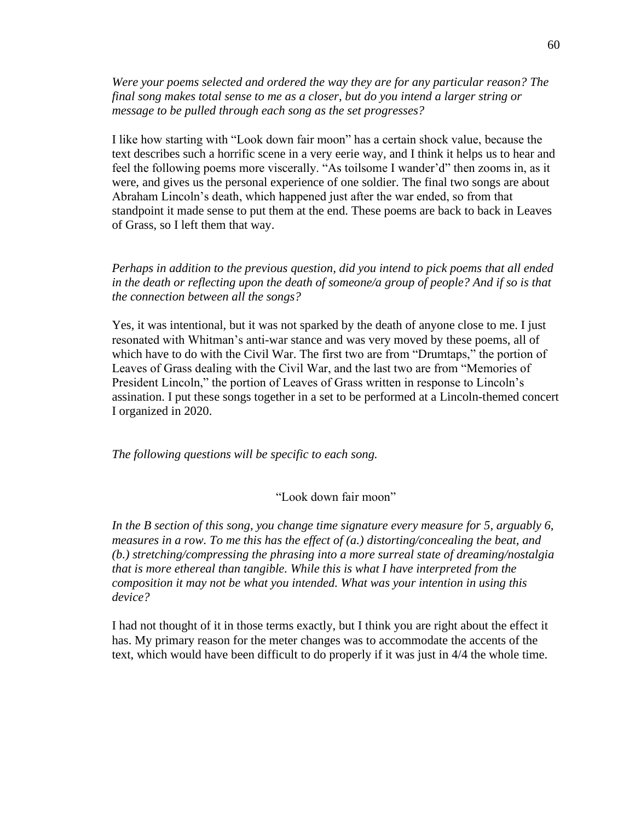*Were your poems selected and ordered the way they are for any particular reason? The final song makes total sense to me as a closer, but do you intend a larger string or message to be pulled through each song as the set progresses?*

I like how starting with "Look down fair moon" has a certain shock value, because the text describes such a horrific scene in a very eerie way, and I think it helps us to hear and feel the following poems more viscerally. "As toilsome I wander'd" then zooms in, as it were, and gives us the personal experience of one soldier. The final two songs are about Abraham Lincoln's death, which happened just after the war ended, so from that standpoint it made sense to put them at the end. These poems are back to back in Leaves of Grass, so I left them that way.

*Perhaps in addition to the previous question, did you intend to pick poems that all ended in the death or reflecting upon the death of someone/a group of people? And if so is that the connection between all the songs?*

Yes, it was intentional, but it was not sparked by the death of anyone close to me. I just resonated with Whitman's anti-war stance and was very moved by these poems, all of which have to do with the Civil War. The first two are from "Drumtaps," the portion of Leaves of Grass dealing with the Civil War, and the last two are from "Memories of President Lincoln," the portion of Leaves of Grass written in response to Lincoln's assination. I put these songs together in a set to be performed at a Lincoln-themed concert I organized in 2020.

*The following questions will be specific to each song.*

## "Look down fair moon"

*In the B section of this song, you change time signature every measure for 5, arguably 6, measures in a row. To me this has the effect of (a.) distorting/concealing the beat, and (b.) stretching/compressing the phrasing into a more surreal state of dreaming/nostalgia that is more ethereal than tangible. While this is what I have interpreted from the composition it may not be what you intended. What was your intention in using this device?* 

I had not thought of it in those terms exactly, but I think you are right about the effect it has. My primary reason for the meter changes was to accommodate the accents of the text, which would have been difficult to do properly if it was just in 4/4 the whole time.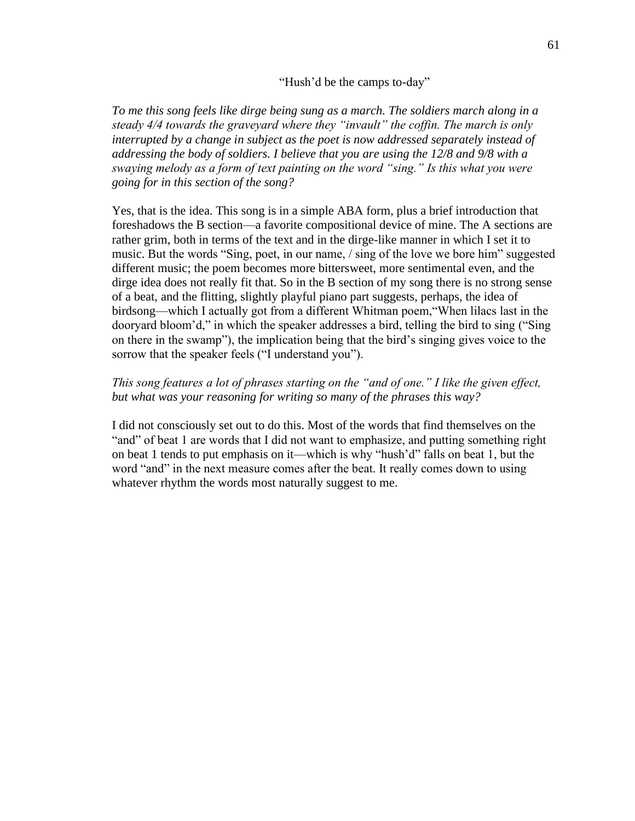"Hush'd be the camps to-day"

*To me this song feels like dirge being sung as a march. The soldiers march along in a steady 4/4 towards the graveyard where they "invault" the coffin. The march is only interrupted by a change in subject as the poet is now addressed separately instead of addressing the body of soldiers. I believe that you are using the 12/8 and 9/8 with a swaying melody as a form of text painting on the word "sing." Is this what you were going for in this section of the song?*

Yes, that is the idea. This song is in a simple ABA form, plus a brief introduction that foreshadows the B section—a favorite compositional device of mine. The A sections are rather grim, both in terms of the text and in the dirge-like manner in which I set it to music. But the words "Sing, poet, in our name, / sing of the love we bore him" suggested different music; the poem becomes more bittersweet, more sentimental even, and the dirge idea does not really fit that. So in the B section of my song there is no strong sense of a beat, and the flitting, slightly playful piano part suggests, perhaps, the idea of birdsong—which I actually got from a different Whitman poem,"When lilacs last in the dooryard bloom'd," in which the speaker addresses a bird, telling the bird to sing ("Sing on there in the swamp"), the implication being that the bird's singing gives voice to the sorrow that the speaker feels ("I understand you").

# *This song features a lot of phrases starting on the "and of one." I like the given effect, but what was your reasoning for writing so many of the phrases this way?*

I did not consciously set out to do this. Most of the words that find themselves on the "and" of beat 1 are words that I did not want to emphasize, and putting something right on beat 1 tends to put emphasis on it—which is why "hush'd" falls on beat 1, but the word "and" in the next measure comes after the beat. It really comes down to using whatever rhythm the words most naturally suggest to me.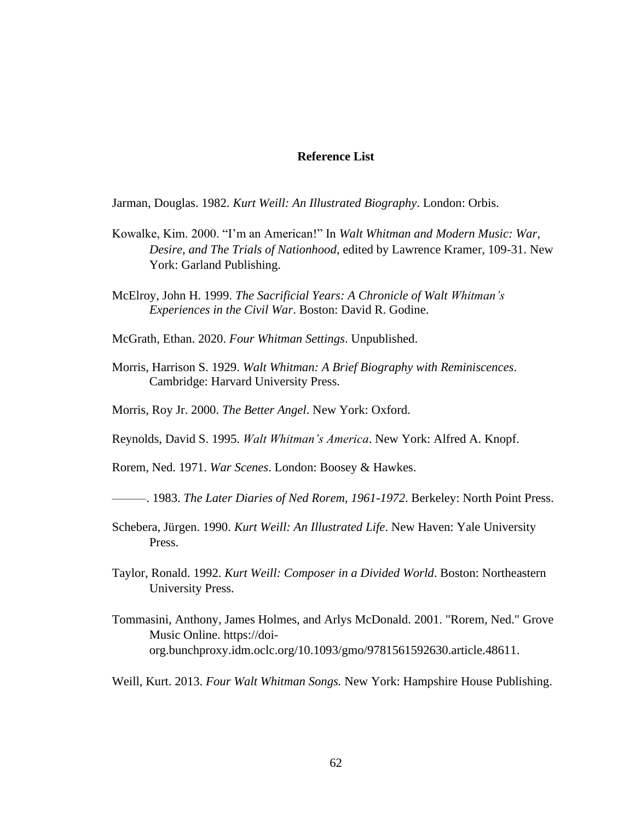#### **Reference List**

Jarman, Douglas. 1982. *Kurt Weill: An Illustrated Biography*. London: Orbis.

- Kowalke, Kim. 2000. "I'm an American!" In *Walt Whitman and Modern Music: War, Desire, and The Trials of Nationhood*, edited by Lawrence Kramer, 109-31. New York: Garland Publishing.
- McElroy, John H. 1999. *The Sacrificial Years: A Chronicle of Walt Whitman's Experiences in the Civil War*. Boston: David R. Godine.
- McGrath, Ethan. 2020. *Four Whitman Settings*. Unpublished.
- Morris, Harrison S. 1929. *Walt Whitman: A Brief Biography with Reminiscences*. Cambridge: Harvard University Press.
- Morris, Roy Jr. 2000. *The Better Angel*. New York: Oxford.
- Reynolds, David S. 1995. *Walt Whitman's America*. New York: Alfred A. Knopf.

Rorem, Ned. 1971. *War Scenes*. London: Boosey & Hawkes.

———. 1983. *The Later Diaries of Ned Rorem, 1961-1972*. Berkeley: North Point Press.

- Schebera, Jürgen. 1990. *Kurt Weill: An Illustrated Life*. New Haven: Yale University Press.
- Taylor, Ronald. 1992. *Kurt Weill: Composer in a Divided World*. Boston: Northeastern University Press.
- Tommasini, Anthony, James Holmes, and Arlys McDonald. 2001. "Rorem, Ned." Grove Music Online. https://doiorg.bunchproxy.idm.oclc.org/10.1093/gmo/9781561592630.article.48611.
- Weill, Kurt. 2013. *Four Walt Whitman Songs.* New York: Hampshire House Publishing.